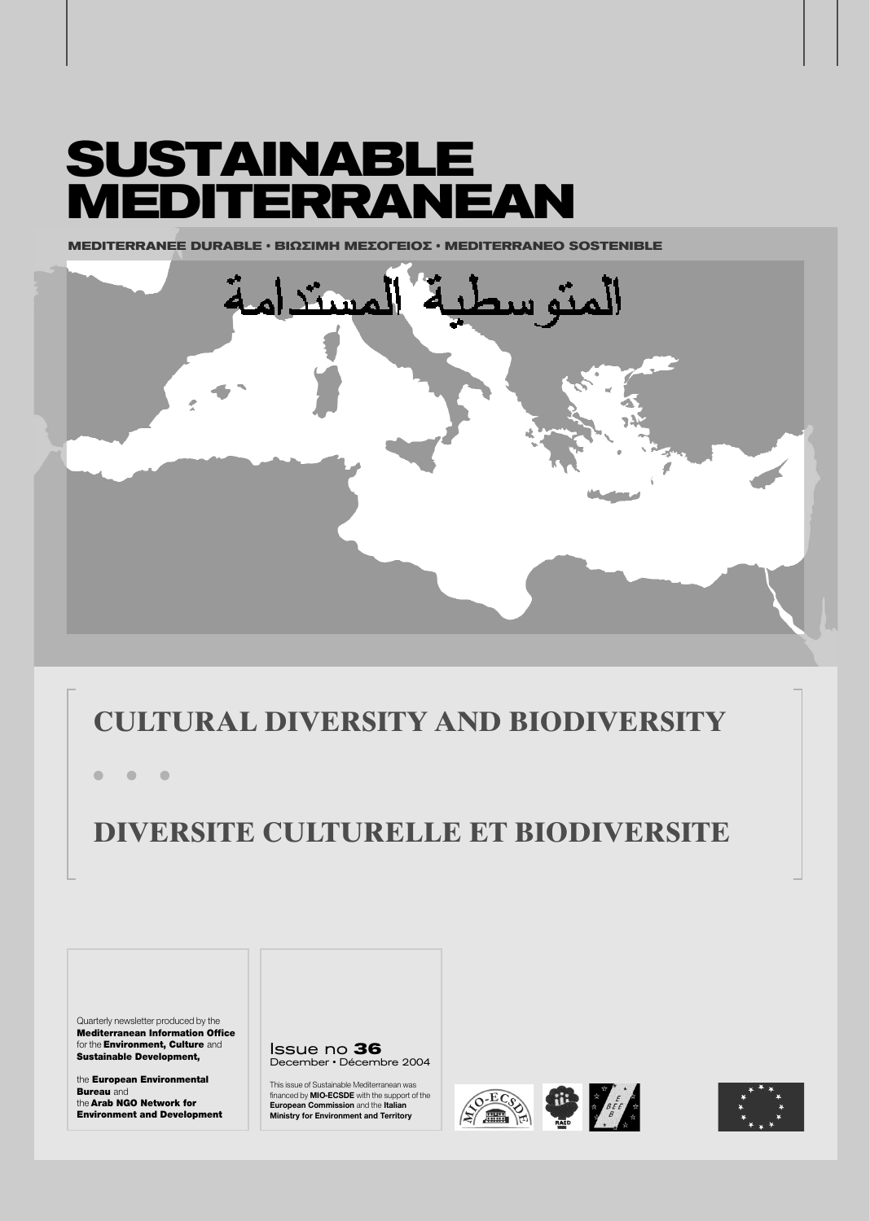# **SUSTAINABLE MEDITERRANEAN**

**MEDITERRANEE DURABLE · ΒΙΩΣΙΜΗ ΜΕΣΟΓΕΙΟΣ · MEDITERRANEO SOSTENIBLE** 



### **CULTURAL DIVERSITY AND BIODIVERSITY**

**ñ ñ ñ**

## **DIVERSITE CULTURELLE ET BIODIVERSITE**

Quarterly newsletter produced by the Mediterranean Information Office for the **Environment, Culture** and Sustainable Development,

the European Environmental **Bureau** and the Arab NGO Network for Environment and Development Issue no **36** December · Décembre 2004

This issue of Sustainable Mediterranean was financed by **MIO-ECSDE** with the support of the **European Commission** and the **Italian Ministry for Environment and Territory**





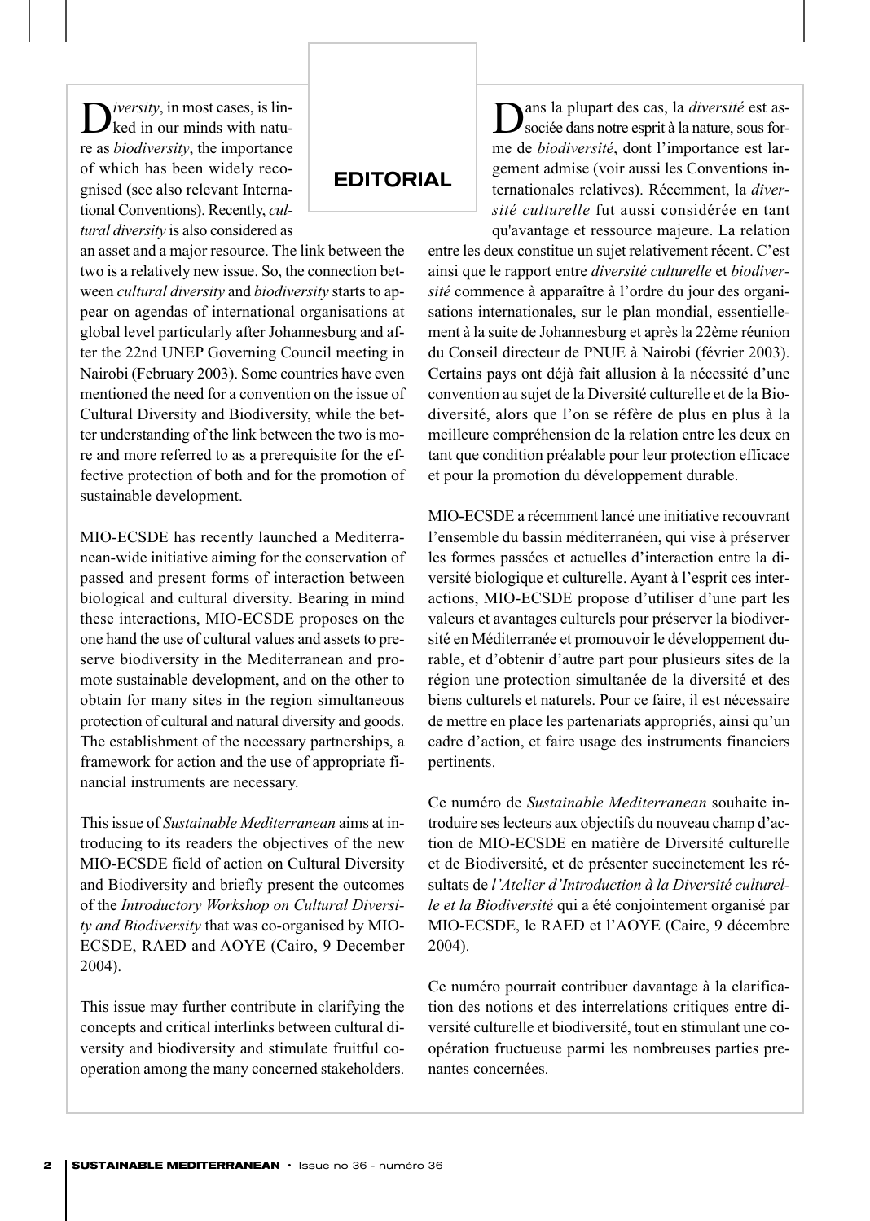D*iversity*, in most cases, is lin-<br>ked in our minds with nature as *biodiversity*, the importance of which has been widely recognised (see also relevant International Conventions). Recently, *cultural diversity* is also considered as

an asset and a major resource. The link between the two is a relatively new issue. So, the connection between *cultural diversity* and *biodiversity* starts to appear on agendas of international organisations at global level particularly after Johannesburg and after the 22nd UNEP Governing Council meeting in Nairobi (February 2003). Some countries have even mentioned the need for a convention on the issue of Cultural Diversity and Biodiversity, while the better understanding of the link between the two is more and more referred to as a prerequisite for the effective protection of both and for the promotion of sustainable development.

**EDITORIAL** 

MIO-ECSDE has recently launched a Mediterranean-wide initiative aiming for the conservation of passed and present forms of interaction between biological and cultural diversity. Bearing in mind these interactions, MIO-ECSDE proposes on the one hand the use of cultural values and assets to preserve biodiversity in the Mediterranean and promote sustainable development, and on the other to obtain for many sites in the region simultaneous protection of cultural and natural diversity and goods. The establishment of the necessary partnerships, a framework for action and the use of appropriate financial instruments are necessary.

This issue of *Sustainable Mediterranean* aims at introducing to its readers the objectives of the new MIO-ECSDE field of action on Cultural Diversity and Biodiversity and briefly present the outcomes of the *Introductory Workshop on Cultural Diversity and Biodiversity* that was co-organised by MIO-ECSDE, RAED and AOYE (Cairo, 9 December 2004).

This issue may further contribute in clarifying the concepts and critical interlinks between cultural diversity and biodiversity and stimulate fruitful cooperation among the many concerned stakeholders.

ans la plupart des cas, la *diversité* est associée dans notre esprit à la nature, sous forme de *biodiversité*, dont l'importance est largement admise (voir aussi les Conventions internationales relatives). Récemment, la *diversité culturelle* fut aussi considérée en tant qu'avantage et ressource majeure. La relation

entre les deux constitue un sujet relativement récent. C'est ainsi que le rapport entre *diversité culturelle* et *biodiversité* commence à apparaître à l'ordre du jour des organisations internationales, sur le plan mondial, essentiellement à la suite de Johannesburg et après la 22ème réunion du Conseil directeur de PNUE à Nairobi (février 2003). Certains pays ont déjà fait allusion à la nécessité d'une convention au sujet de la Diversité culturelle et de la Biodiversité, alors que l'on se réfère de plus en plus à la meilleure compréhension de la relation entre les deux en tant que condition préalable pour leur protection efficace et pour la promotion du développement durable.

MIO-ECSDE a récemment lancé une initiative recouvrant l'ensemble du bassin méditerranéen, qui vise à préserver les formes passées et actuelles d'interaction entre la diversité biologique et culturelle. Ayant à l'esprit ces interactions, MIO-ECSDE propose d'utiliser d'une part les valeurs et avantages culturels pour préserver la biodiversité en Méditerranée et promouvoir le développement durable, et d'obtenir d'autre part pour plusieurs sites de la région une protection simultanée de la diversité et des biens culturels et naturels. Pour ce faire, il est nécessaire de mettre en place les partenariats appropriés, ainsi qu'un cadre d'action, et faire usage des instruments financiers pertinents.

Ce numéro de *Sustainable Mediterranean* souhaite introduire ses lecteurs aux objectifs du nouveau champ d'action de MIO-ECSDE en matière de Diversité culturelle et de Biodiversité, et de présenter succinctement les résultats de *l'Atelier d'Introduction à la Diversité culturelle et la Biodiversité* qui a été conjointement organisé par MIO-ECSDE, le RAED et l'AOYE (Caire, 9 décembre 2004).

Ce numéro pourrait contribuer davantage à la clarification des notions et des interrelations critiques entre diversité culturelle et biodiversité, tout en stimulant une coopération fructueuse parmi les nombreuses parties prenantes concernées.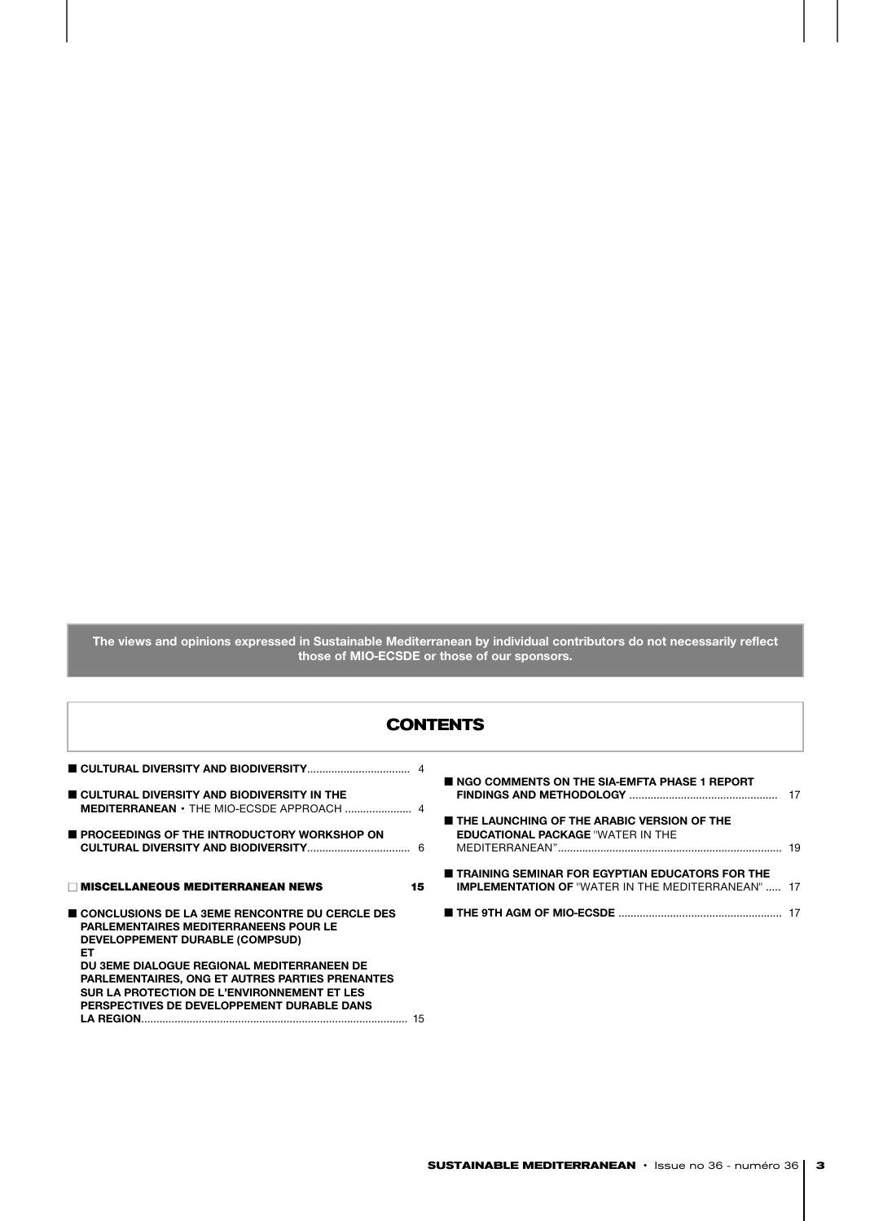**The views and opinions expressed in Sustainable Mediterranean by individual contributors do not necessarily reflect those of MIO-ECSDE or those of our sponsors.**

#### **CONTENTS**

|                                                        | <b>NO READER OF THE SIA-EMFTA PHASE 1 REPORT</b>          |
|--------------------------------------------------------|-----------------------------------------------------------|
| CULTURAL DIVERSITY AND BIODIVERSITY IN THE             |                                                           |
| <b>MEDITERRANEAN • THE MIO-ECSDE APPROACH </b> 4       |                                                           |
|                                                        | <b>THE LAUNCHING OF THE ARABIC VERSION OF THE</b>         |
| <b>PROCEEDINGS OF THE INTRODUCTORY WORKSHOP ON</b>     | <b>EDUCATIONAL PACKAGE "WATER IN THE</b>                  |
|                                                        |                                                           |
|                                                        |                                                           |
|                                                        | <b>TRAINING SEMINAR FOR EGYPTIAN EDUCATORS FOR THE</b>    |
| $\Box$ MISCELLANEOUS MEDITERRANEAN NEWS<br>15          | <b>IMPLEMENTATION OF "WATER IN THE MEDITERRANEAN"  17</b> |
|                                                        |                                                           |
| CONCLUSIONS DE LA 3EME RENCONTRE DU CERCLE DES         |                                                           |
| PARLEMENTAIRES MEDITERRANEENS POUR LE                  |                                                           |
| DEVELOPPEMENT DURABLE (COMPSUD)                        |                                                           |
| ET.                                                    |                                                           |
| DU 3EME DIALOGUE REGIONAL MEDITERRANEEN DE             |                                                           |
| <b>PARLEMENTAIRES, ONG ET AUTRES PARTIES PRENANTES</b> |                                                           |
| SUR LA PROTECTION DE L'ENVIRONNEMENT ET LES            |                                                           |
| PERSPECTIVES DE DEVELOPPEMENT DURABLE DANS             |                                                           |
|                                                        |                                                           |
|                                                        |                                                           |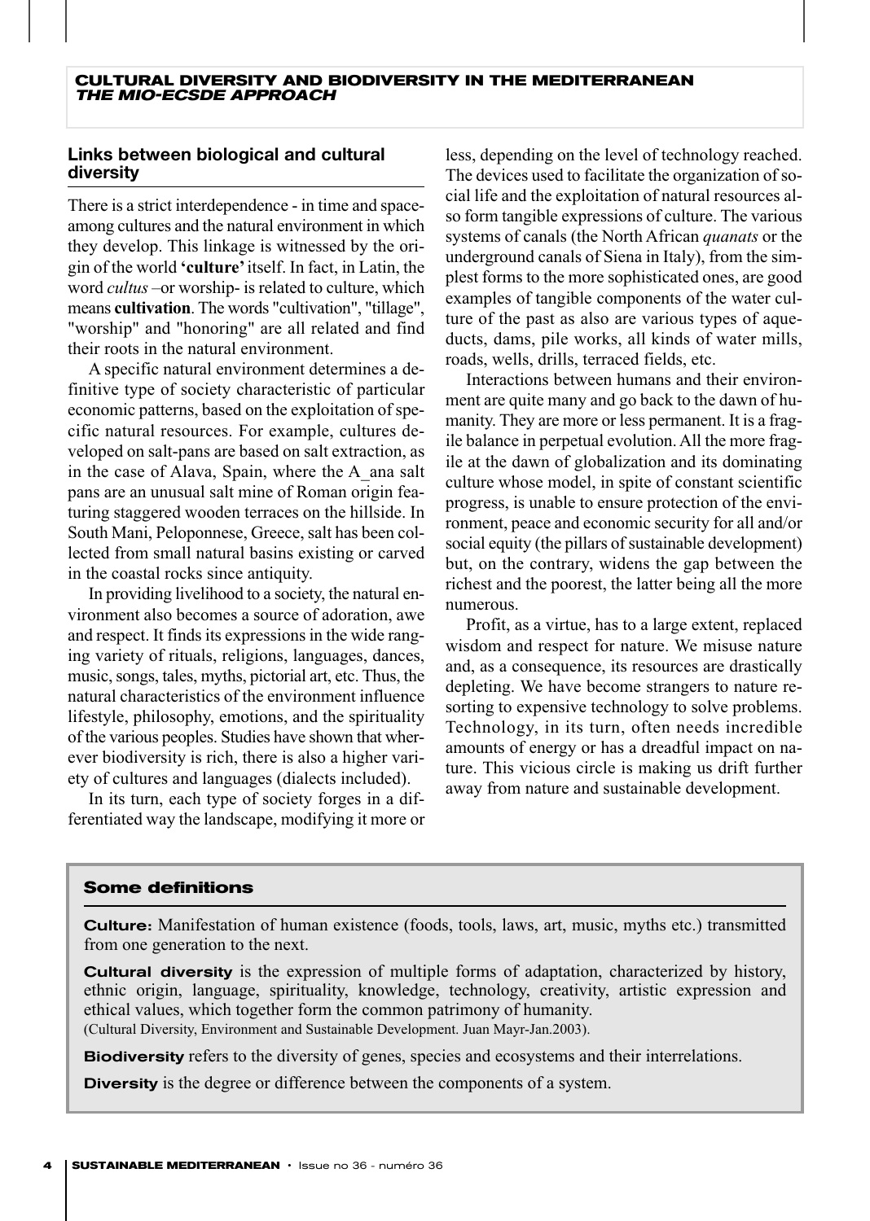#### **Links between biological and cultural diversity**

There is a strict interdependence - in time and spaceamong cultures and the natural environment in which they develop. This linkage is witnessed by the origin of the world **'culture'**itself. In fact, in Latin, the word *cultus* –or worship- is related to culture, which means **cultivation**. The words "cultivation", "tillage", "worship" and "honoring" are all related and find their roots in the natural environment.

A specific natural environment determines a definitive type of society characteristic of particular economic patterns, based on the exploitation of specific natural resources. For example, cultures developed on salt-pans are based on salt extraction, as in the case of Alava, Spain, where the A\_ana salt pans are an unusual salt mine of Roman origin featuring staggered wooden terraces on the hillside. In South Mani, Peloponnese, Greece, salt has been collected from small natural basins existing or carved in the coastal rocks since antiquity.

In providing livelihood to a society, the natural environment also becomes a source of adoration, awe and respect. It finds its expressions in the wide ranging variety of rituals, religions, languages, dances, music, songs, tales, myths, pictorial art, etc. Thus, the natural characteristics of the environment influence lifestyle, philosophy, emotions, and the spirituality of the various peoples. Studies have shown that wherever biodiversity is rich, there is also a higher variety of cultures and languages (dialects included).

In its turn, each type of society forges in a differentiated way the landscape, modifying it more or

less, depending on the level of technology reached. The devices used to facilitate the organization of social life and the exploitation of natural resources also form tangible expressions of culture. The various systems of canals (the North African *quanats* or the underground canals of Siena in Italy), from the simplest forms to the more sophisticated ones, are good examples of tangible components of the water culture of the past as also are various types of aqueducts, dams, pile works, all kinds of water mills, roads, wells, drills, terraced fields, etc.

Interactions between humans and their environment are quite many and go back to the dawn of humanity. They are more or less permanent. It is a fragile balance in perpetual evolution. All the more fragile at the dawn of globalization and its dominating culture whose model, in spite of constant scientific progress, is unable to ensure protection of the environment, peace and economic security for all and/or social equity (the pillars of sustainable development) but, on the contrary, widens the gap between the richest and the poorest, the latter being all the more numerous.

Profit, as a virtue, has to a large extent, replaced wisdom and respect for nature. We misuse nature and, as a consequence, its resources are drastically depleting. We have become strangers to nature resorting to expensive technology to solve problems. Technology, in its turn, often needs incredible amounts of energy or has a dreadful impact on nature. This vicious circle is making us drift further away from nature and sustainable development.

#### **Some definitions**

Culture: Manifestation of human existence (foods, tools, laws, art, music, myths etc.) transmitted from one generation to the next.

**Cultural diversity** is the expression of multiple forms of adaptation, characterized by history, ethnic origin, language, spirituality, knowledge, technology, creativity, artistic expression and ethical values, which together form the common patrimony of humanity. (Cultural Diversity, Environment and Sustainable Development. Juan Mayr-Jan.2003).

**Biodiversity** refers to the diversity of genes, species and ecosystems and their interrelations.

**Diversity** is the degree or difference between the components of a system.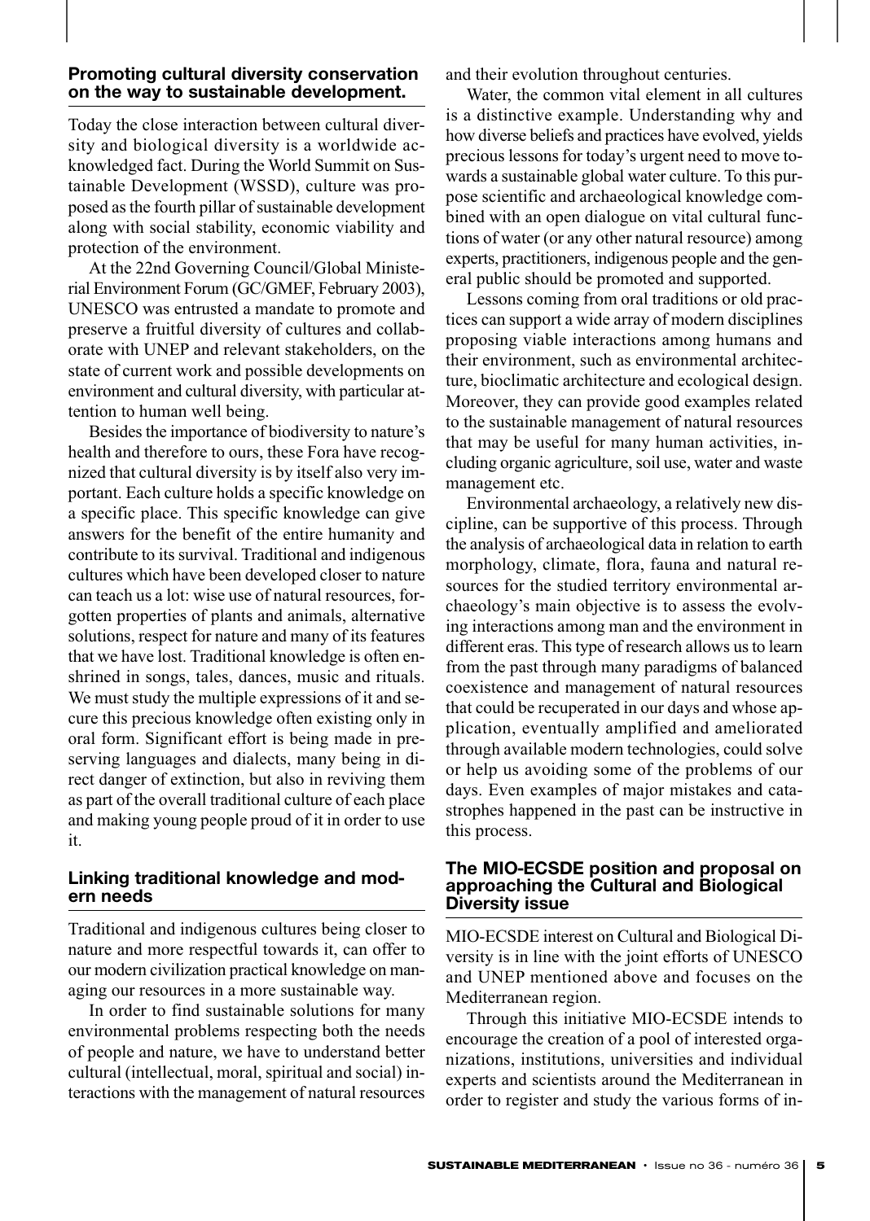#### **Promoting cultural diversity conservation on the way to sustainable development.**

Today the close interaction between cultural diversity and biological diversity is a worldwide acknowledged fact. During the World Summit on Sustainable Development (WSSD), culture was proposed as the fourth pillar of sustainable development along with social stability, economic viability and protection of the environment.

At the 22nd Governing Council/Global Ministerial Environment Forum (GC/GMEF, February 2003), UNESCO was entrusted a mandate to promote and preserve a fruitful diversity of cultures and collaborate with UNEP and relevant stakeholders, on the state of current work and possible developments on environment and cultural diversity, with particular attention to human well being.

Besides the importance of biodiversity to nature's health and therefore to ours, these Fora have recognized that cultural diversity is by itself also very important. Each culture holds a specific knowledge on a specific place. This specific knowledge can give answers for the benefit of the entire humanity and contribute to its survival. Traditional and indigenous cultures which have been developed closer to nature can teach us a lot: wise use of natural resources, forgotten properties of plants and animals, alternative solutions, respect for nature and many of its features that we have lost. Traditional knowledge is often enshrined in songs, tales, dances, music and rituals. We must study the multiple expressions of it and secure this precious knowledge often existing only in oral form. Significant effort is being made in preserving languages and dialects, many being in direct danger of extinction, but also in reviving them as part of the overall traditional culture of each place and making young people proud of it in order to use it.

#### **Linking traditional knowledge and modern needs**

Traditional and indigenous cultures being closer to nature and more respectful towards it, can offer to our modern civilization practical knowledge on managing our resources in a more sustainable way.

In order to find sustainable solutions for many environmental problems respecting both the needs of people and nature, we have to understand better cultural (intellectual, moral, spiritual and social) interactions with the management of natural resources and their evolution throughout centuries.

Water, the common vital element in all cultures is a distinctive example. Understanding why and how diverse beliefs and practices have evolved, yields precious lessons for today's urgent need to move towards a sustainable global water culture. To this purpose scientific and archaeological knowledge combined with an open dialogue on vital cultural functions of water (or any other natural resource) among experts, practitioners, indigenous people and the general public should be promoted and supported.

Lessons coming from oral traditions or old practices can support a wide array of modern disciplines proposing viable interactions among humans and their environment, such as environmental architecture, bioclimatic architecture and ecological design. Moreover, they can provide good examples related to the sustainable management of natural resources that may be useful for many human activities, including organic agriculture, soil use, water and waste management etc.

Environmental archaeology, a relatively new discipline, can be supportive of this process. Through the analysis of archaeological data in relation to earth morphology, climate, flora, fauna and natural resources for the studied territory environmental archaeology's main objective is to assess the evolving interactions among man and the environment in different eras. This type of research allows us to learn from the past through many paradigms of balanced coexistence and management of natural resources that could be recuperated in our days and whose application, eventually amplified and ameliorated through available modern technologies, could solve or help us avoiding some of the problems of our days. Even examples of major mistakes and catastrophes happened in the past can be instructive in this process.

#### **The MIO-ECSDE position and proposal on approaching the Cultural and Biological Diversity issue**

MIO-ECSDE interest on Cultural and Biological Diversity is in line with the joint efforts of UNESCO and UNEP mentioned above and focuses on the Mediterranean region.

Through this initiative MIO-ECSDE intends to encourage the creation of a pool of interested organizations, institutions, universities and individual experts and scientists around the Mediterranean in order to register and study the various forms of in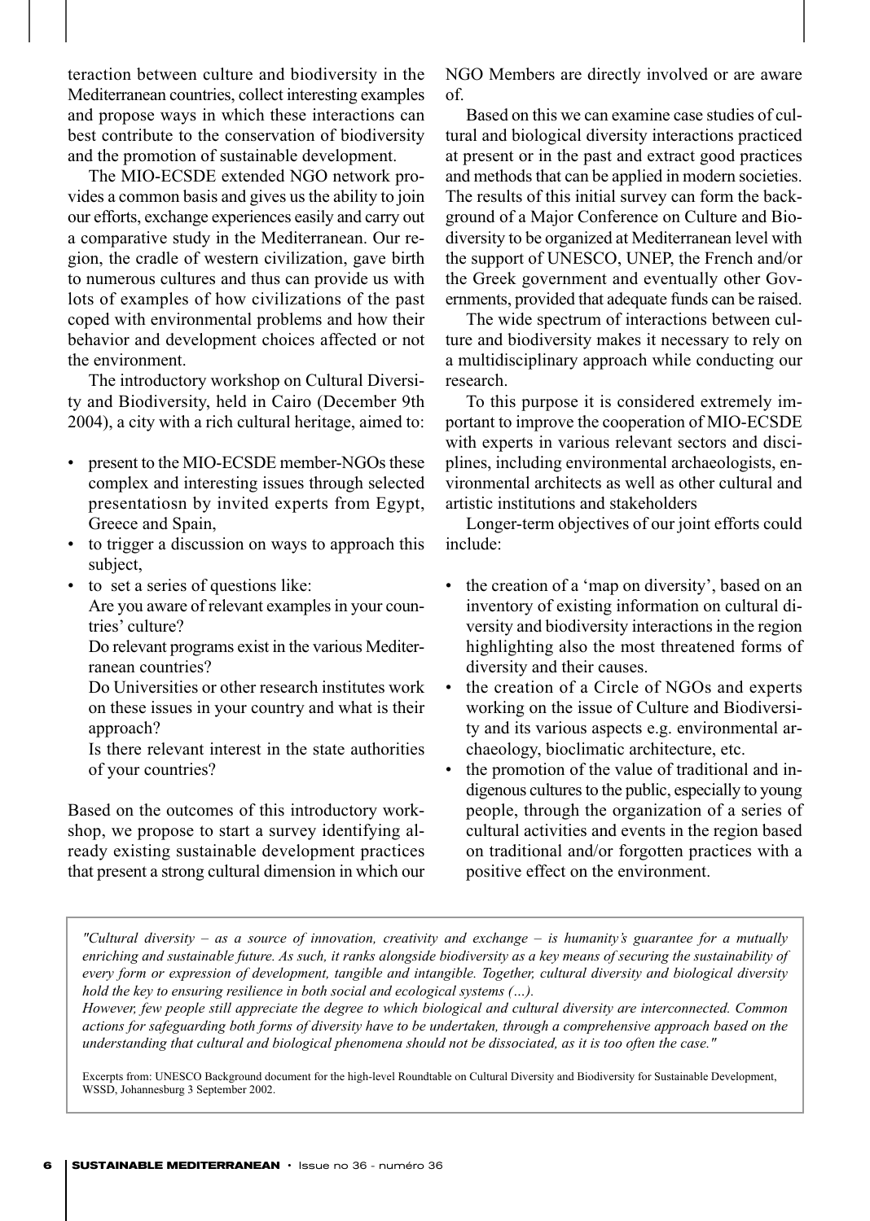teraction between culture and biodiversity in the Mediterranean countries, collect interesting examples and propose ways in which these interactions can best contribute to the conservation of biodiversity and the promotion of sustainable development.

The MIO-ECSDE extended NGO network provides a common basis and gives us the ability to join our efforts, exchange experiences easily and carry out a comparative study in the Mediterranean. Our region, the cradle of western civilization, gave birth to numerous cultures and thus can provide us with lots of examples of how civilizations of the past coped with environmental problems and how their behavior and development choices affected or not the environment.

The introductory workshop on Cultural Diversity and Biodiversity, held in Cairo (December 9th 2004), a city with a rich cultural heritage, aimed to:

- present to the MIO-ECSDE member-NGOs these complex and interesting issues through selected presentatiosn by invited experts from Egypt, Greece and Spain,
- to trigger a discussion on ways to approach this subject,
- to set a series of questions like: Are you aware of relevant examples in your coun
	- tries' culture? Do relevant programs exist in the various Mediter-
	- ranean countries?

Do Universities or other research institutes work on these issues in your country and what is their approach?

Is there relevant interest in the state authorities of your countries?

Based on the outcomes of this introductory workshop, we propose to start a survey identifying already existing sustainable development practices that present a strong cultural dimension in which our NGO Members are directly involved or are aware of.

Based on this we can examine case studies of cultural and biological diversity interactions practiced at present or in the past and extract good practices and methods that can be applied in modern societies. The results of this initial survey can form the background of a Major Conference on Culture and Biodiversity to be organized at Mediterranean level with the support of UNESCO, UNEP, the French and/or the Greek government and eventually other Governments, provided that adequate funds can be raised.

The wide spectrum of interactions between culture and biodiversity makes it necessary to rely on a multidisciplinary approach while conducting our research.

To this purpose it is considered extremely important to improve the cooperation of MIO-ECSDE with experts in various relevant sectors and disciplines, including environmental archaeologists, environmental architects as well as other cultural and artistic institutions and stakeholders

Longer-term objectives of our joint efforts could include:

- the creation of a 'map on diversity', based on an inventory of existing information on cultural diversity and biodiversity interactions in the region highlighting also the most threatened forms of diversity and their causes.
- the creation of a Circle of NGOs and experts working on the issue of Culture and Biodiversity and its various aspects e.g. environmental archaeology, bioclimatic architecture, etc.
- the promotion of the value of traditional and indigenous cultures to the public, especially to young people, through the organization of a series of cultural activities and events in the region based on traditional and/or forgotten practices with a positive effect on the environment.

*"Cultural diversity – as a source of innovation, creativity and exchange – is humanity's guarantee for a mutually enriching and sustainable future. As such, it ranks alongside biodiversity as a key means of securing the sustainability of every form or expression of development, tangible and intangible. Together, cultural diversity and biological diversity hold the key to ensuring resilience in both social and ecological systems (…).*

*However, few people still appreciate the degree to which biological and cultural diversity are interconnected. Common actions for safeguarding both forms of diversity have to be undertaken, through a comprehensive approach based on the understanding that cultural and biological phenomena should not be dissociated, as it is too often the case."* 

Excerpts from: UNESCO Background document for the high-level Roundtable on Cultural Diversity and Biodiversity for Sustainable Development, WSSD, Johannesburg 3 September 2002.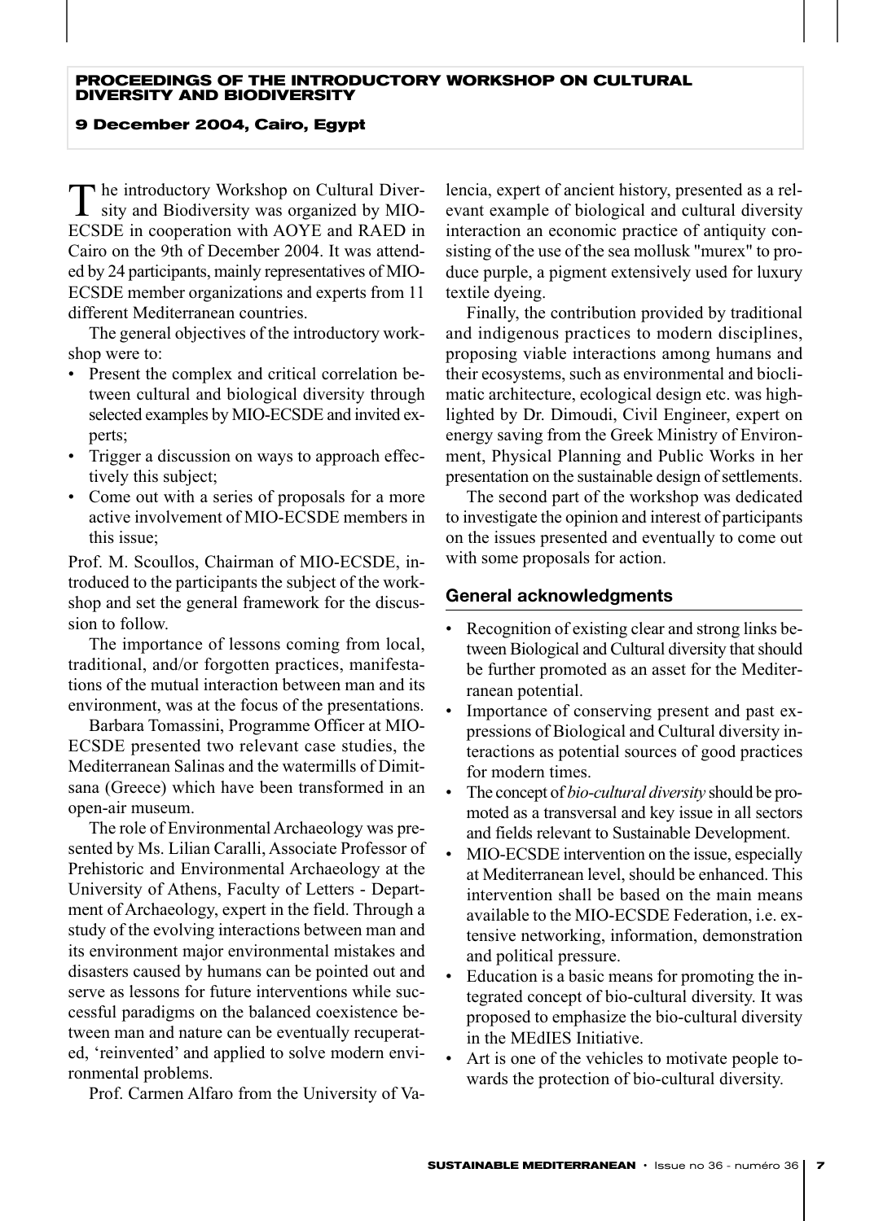#### **PROCEEDINGS OF THE INTRODUCTORY WORKSHOP ON CULTURAL DIVERSITY AND BIODIVERSITY**

#### **9 December 2004, Cairo, Egypt**

 $\Gamma$  he introductory Workshop on Cultural Diversity and Biodiversity was organized by MIO-ECSDE in cooperation with AOYE and RAED in Cairo on the 9th of December 2004. It was attended by 24 participants, mainly representatives of MIO-ECSDE member organizations and experts from 11 different Mediterranean countries.

The general objectives of the introductory workshop were to:

- Present the complex and critical correlation between cultural and biological diversity through selected examples by MIO-ECSDE and invited experts;
- Trigger a discussion on ways to approach effectively this subject;
- Come out with a series of proposals for a more active involvement of MIO-ECSDE members in this issue;

Prof. M. Scoullos, Chairman of MIO-ECSDE, introduced to the participants the subject of the workshop and set the general framework for the discussion to follow.

The importance of lessons coming from local, traditional, and/or forgotten practices, manifestations of the mutual interaction between man and its environment, was at the focus of the presentations.

Barbara Tomassini, Programme Officer at MIO-ECSDE presented two relevant case studies, the Mediterranean Salinas and the watermills of Dimitsana (Greece) which have been transformed in an open-air museum.

The role of Environmental Archaeology was presented by Ms. Lilian Caralli, Associate Professor of Prehistoric and Environmental Archaeology at the University of Athens, Faculty of Letters - Department of Archaeology, expert in the field. Through a study of the evolving interactions between man and its environment major environmental mistakes and disasters caused by humans can be pointed out and serve as lessons for future interventions while successful paradigms on the balanced coexistence between man and nature can be eventually recuperated, 'reinvented' and applied to solve modern environmental problems.

Prof. Carmen Alfaro from the University of Va-

lencia, expert of ancient history, presented as a relevant example of biological and cultural diversity interaction an economic practice of antiquity consisting of the use of the sea mollusk "murex" to produce purple, a pigment extensively used for luxury textile dyeing.

Finally, the contribution provided by traditional and indigenous practices to modern disciplines, proposing viable interactions among humans and their ecosystems, such as environmental and bioclimatic architecture, ecological design etc. was highlighted by Dr. Dimoudi, Civil Engineer, expert on energy saving from the Greek Ministry of Environment, Physical Planning and Public Works in her presentation on the sustainable design of settlements.

The second part of the workshop was dedicated to investigate the opinion and interest of participants on the issues presented and eventually to come out with some proposals for action.

#### **General acknowledgments**

- Recognition of existing clear and strong links between Biological and Cultural diversity that should be further promoted as an asset for the Mediterranean potential.
- Importance of conserving present and past expressions of Biological and Cultural diversity interactions as potential sources of good practices for modern times.
- The concept of *bio-cultural diversity* should be promoted as a transversal and key issue in all sectors and fields relevant to Sustainable Development.
- MIO-ECSDE intervention on the issue, especially at Mediterranean level, should be enhanced. This intervention shall be based on the main means available to the MIO-ECSDE Federation, i.e. extensive networking, information, demonstration and political pressure.
- Education is a basic means for promoting the integrated concept of bio-cultural diversity. It was proposed to emphasize the bio-cultural diversity in the MEdIES Initiative.
- Art is one of the vehicles to motivate people towards the protection of bio-cultural diversity.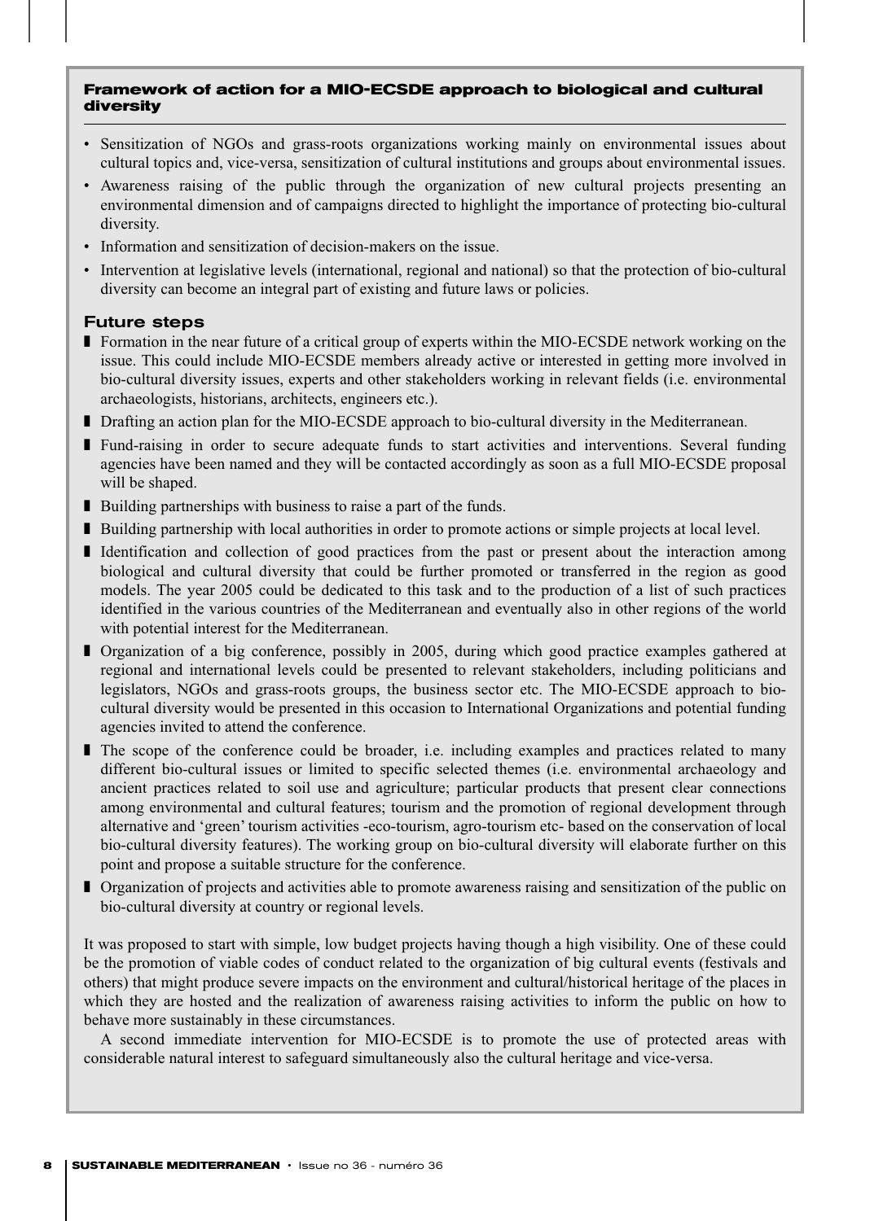#### **Framework of action for a MIO-ECSDE approach to biological and cultural diversity**

- Sensitization of NGOs and grass-roots organizations working mainly on environmental issues about cultural topics and, vice-versa, sensitization of cultural institutions and groups about environmental issues.
- Awareness raising of the public through the organization of new cultural projects presenting an environmental dimension and of campaigns directed to highlight the importance of protecting bio-cultural diversity.
- Information and sensitization of decision-makers on the issue.
- Intervention at legislative levels (international, regional and national) so that the protection of bio-cultural diversity can become an integral part of existing and future laws or policies.

#### Future steps

- Formation in the near future of a critical group of experts within the MIO-ECSDE network working on the issue. This could include MIO-ECSDE members already active or interested in getting more involved in bio-cultural diversity issues, experts and other stakeholders working in relevant fields (i.e. environmental archaeologists, historians, architects, engineers etc.).
- Drafting an action plan for the MIO-ECSDE approach to bio-cultural diversity in the Mediterranean.
- Fund-raising in order to secure adequate funds to start activities and interventions. Several funding agencies have been named and they will be contacted accordingly as soon as a full MIO-ECSDE proposal will be shaped.
- Building partnerships with business to raise a part of the funds.
- Building partnership with local authorities in order to promote actions or simple projects at local level.
- Identification and collection of good practices from the past or present about the interaction among biological and cultural diversity that could be further promoted or transferred in the region as good models. The year 2005 could be dedicated to this task and to the production of a list of such practices identified in the various countries of the Mediterranean and eventually also in other regions of the world with potential interest for the Mediterranean.
- Organization of a big conference, possibly in 2005, during which good practice examples gathered at regional and international levels could be presented to relevant stakeholders, including politicians and legislators, NGOs and grass-roots groups, the business sector etc. The MIO-ECSDE approach to biocultural diversity would be presented in this occasion to International Organizations and potential funding agencies invited to attend the conference.
- The scope of the conference could be broader, i.e. including examples and practices related to many different bio-cultural issues or limited to specific selected themes (i.e. environmental archaeology and ancient practices related to soil use and agriculture; particular products that present clear connections among environmental and cultural features; tourism and the promotion of regional development through alternative and 'green' tourism activities -eco-tourism, agro-tourism etc- based on the conservation of local bio-cultural diversity features). The working group on bio-cultural diversity will elaborate further on this point and propose a suitable structure for the conference.
- Organization of projects and activities able to promote awareness raising and sensitization of the public on bio-cultural diversity at country or regional levels.

It was proposed to start with simple, low budget projects having though a high visibility. One of these could be the promotion of viable codes of conduct related to the organization of big cultural events (festivals and others) that might produce severe impacts on the environment and cultural/historical heritage of the places in which they are hosted and the realization of awareness raising activities to inform the public on how to behave more sustainably in these circumstances.

A second immediate intervention for MIO-ECSDE is to promote the use of protected areas with considerable natural interest to safeguard simultaneously also the cultural heritage and vice-versa.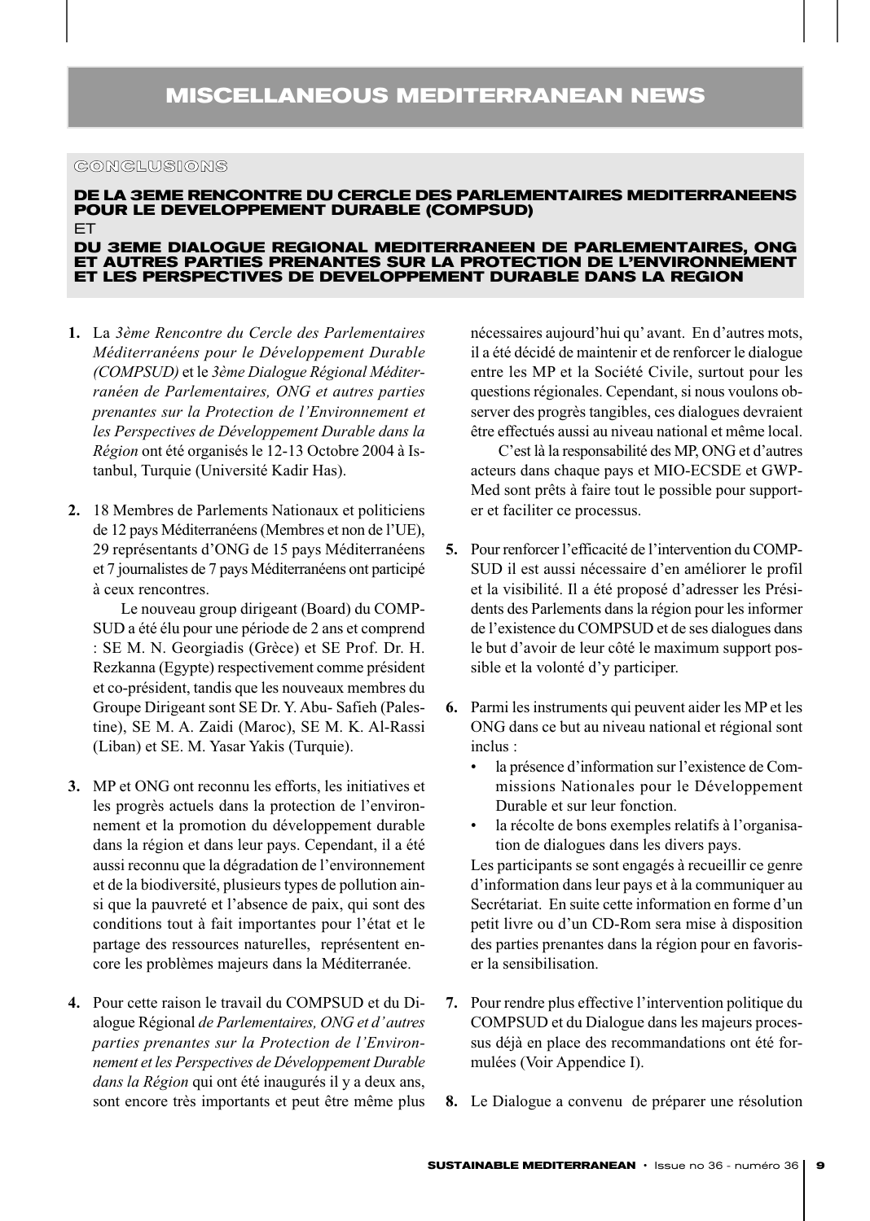#### **CONCLUSIONS**

### **DE LA 3EME RENCONTRE DU CERCLE DES PARLEMENTAIRES MEDITERRANEENS POUR LE DEVELOPPEMENT DURABLE (COMPSUD)**

ET

#### **DU 3EME DIALOGUE REGIONAL MEDITERRANEEN DE PARLEMENTAIRES, ONG ET AUTRES PARTIES PRENANTES SUR LA PROTECTION DE L'ENVIRONNEMENT ET LES PERSPECTIVES DE DEVELOPPEMENT DURABLE DANS LA REGION**

- **1.** La *3ème Rencontre du Cercle des Parlementaires Méditerranéens pour le Développement Durable (COMPSUD)* et le *3ème Dialogue Régional Méditerranéen de Parlementaires, ONG et autres parties prenantes sur la Protection de l'Environnement et les Perspectives de Développement Durable dans la Région* ont été organisés le 12-13 Octobre 2004 à Istanbul, Turquie (Université Kadir Has).
- **2.** 18 Membres de Parlements Nationaux et politiciens de 12 pays Méditerranéens (Membres et non de l'UE), 29 représentants d'ONG de 15 pays Méditerranéens et 7 journalistes de 7 pays Méditerranéens ont participé à ceux rencontres.

Le nouveau group dirigeant (Board) du COMP-SUD a été élu pour une période de 2 ans et comprend : SE M. N. Georgiadis (Grèce) et SE Prof. Dr. H. Rezkanna (Egypte) respectivement comme président et co-président, tandis que les nouveaux membres du Groupe Dirigeant sont SE Dr. Y. Abu- Safieh (Palestine), SE M. A. Zaidi (Maroc), SE M. K. Al-Rassi (Liban) et SE. M. Yasar Yakis (Turquie).

- **3.** MP et ONG ont reconnu les efforts, les initiatives et les progrès actuels dans la protection de l'environnement et la promotion du développement durable dans la région et dans leur pays. Cependant, il a été aussi reconnu que la dégradation de l'environnement et de la biodiversité, plusieurs types de pollution ainsi que la pauvreté et l'absence de paix, qui sont des conditions tout à fait importantes pour l'état et le partage des ressources naturelles, représentent encore les problèmes majeurs dans la Méditerranée.
- **4.** Pour cette raison le travail du COMPSUD et du Dialogue Régional *de Parlementaires, ONG et d'autres parties prenantes sur la Protection de l'Environnement et les Perspectives de Développement Durable dans la Région* qui ont été inaugurés il y a deux ans, sont encore très importants et peut être même plus

nécessaires aujourd'hui qu'avant. En d'autres mots, il a été décidé de maintenir et de renforcer le dialogue entre les MP et la Société Civile, surtout pour les questions régionales. Cependant, si nous voulons observer des progrès tangibles, ces dialogues devraient être effectués aussi au niveau national et même local.

C'est là la responsabilité des MP, ONG et d'autres acteurs dans chaque pays et MIO-ECSDE et GWP-Med sont prêts à faire tout le possible pour supporter et faciliter ce processus.

- **5.** Pour renforcer l'efficacité de l'intervention du COMP-SUD il est aussi nécessaire d'en améliorer le profil et la visibilité. Il a été proposé d'adresser les Présidents des Parlements dans la région pour les informer de l'existence du COMPSUD et de ses dialogues dans le but d'avoir de leur côté le maximum support possible et la volonté d'y participer.
- **6.** Parmi les instruments qui peuvent aider les MP et les ONG dans ce but au niveau national et régional sont inclus :
	- la présence d'information sur l'existence de Commissions Nationales pour le Développement Durable et sur leur fonction.
	- la récolte de bons exemples relatifs à l'organisation de dialogues dans les divers pays.

Les participants se sont engagés à recueillir ce genre d'information dans leur pays et à la communiquer au Secrétariat. En suite cette information en forme d'un petit livre ou d'un CD-Rom sera mise à disposition des parties prenantes dans la région pour en favoriser la sensibilisation.

- **7.** Pour rendre plus effective l'intervention politique du COMPSUD et du Dialogue dans les majeurs processus déjà en place des recommandations ont été formulées (Voir Appendice I).
- **8.** Le Dialogue a convenu de préparer une résolution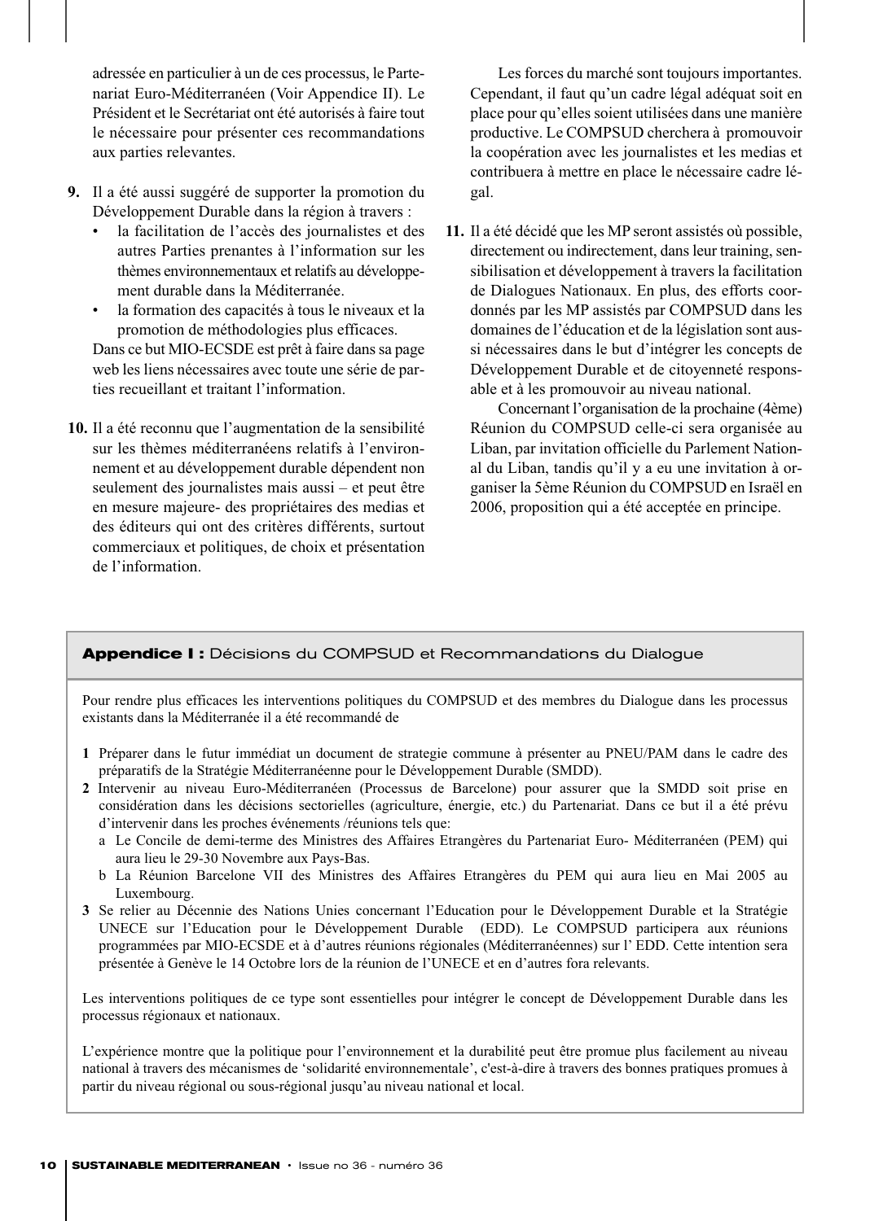adressée en particulier à un de ces processus, le Partenariat Euro-Méditerranéen (Voir Appendice II). Le Président et le Secrétariat ont été autorisés à faire tout le nécessaire pour présenter ces recommandations aux parties relevantes.

- **9.** Il a été aussi suggéré de supporter la promotion du Développement Durable dans la région à travers :
	- la facilitation de l'accès des journalistes et des autres Parties prenantes à l'information sur les thèmes environnementaux et relatifs au développement durable dans la Méditerranée.
	- la formation des capacités à tous le niveaux et la promotion de méthodologies plus efficaces.

Dans ce but MIO-ECSDE est prêt à faire dans sa page web les liens nécessaires avec toute une série de parties recueillant et traitant l'information.

**10.** Il a été reconnu que l'augmentation de la sensibilité sur les thèmes méditerranéens relatifs à l'environnement et au développement durable dépendent non seulement des journalistes mais aussi – et peut être en mesure majeure- des propriétaires des medias et des éditeurs qui ont des critères différents, surtout commerciaux et politiques, de choix et présentation de l'information.

Les forces du marché sont toujours importantes. Cependant, il faut qu'un cadre légal adéquat soit en place pour qu'elles soient utilisées dans une manière productive. Le COMPSUD cherchera à promouvoir la coopération avec les journalistes et les medias et contribuera à mettre en place le nécessaire cadre légal.

**11.** Il a été décidé que les MP seront assistés où possible, directement ou indirectement, dans leur training, sensibilisation et développement à travers la facilitation de Dialogues Nationaux. En plus, des efforts coordonnés par les MP assistés par COMPSUD dans les domaines de l'éducation et de la législation sont aussi nécessaires dans le but d'intégrer les concepts de Développement Durable et de citoyenneté responsable et à les promouvoir au niveau national.

Concernant l'organisation de la prochaine (4ème) Réunion du COMPSUD celle-ci sera organisée au Liban, par invitation officielle du Parlement National du Liban, tandis qu'il y a eu une invitation à organiser la 5ème Réunion du COMPSUD en Israël en 2006, proposition qui a été acceptée en principe.

#### **Appendice I :** Décisions du COMPSUD et Recommandations du Dialogue

Pour rendre plus efficaces les interventions politiques du COMPSUD et des membres du Dialogue dans les processus existants dans la Méditerranée il a été recommandé de

- **1** Préparer dans le futur immédiat un document de strategie commune à présenter au PNEU/PAM dans le cadre des préparatifs de la Stratégie Méditerranéenne pour le Développement Durable (SMDD).
- **2** Intervenir au niveau Euro-Méditerranéen (Processus de Barcelone) pour assurer que la SMDD soit prise en considération dans les décisions sectorielles (agriculture, énergie, etc.) du Partenariat. Dans ce but il a été prévu d'intervenir dans les proches événements /réunions tels que:
	- a Le Concile de demi-terme des Ministres des Affaires Etrangères du Partenariat Euro- Méditerranéen (PEM) qui aura lieu le 29-30 Novembre aux Pays-Bas.
	- b La Réunion Barcelone VII des Ministres des Affaires Etrangères du PEM qui aura lieu en Mai 2005 au Luxembourg.
- **3** Se relier au Décennie des Nations Unies concernant l'Education pour le Développement Durable et la Stratégie UNECE sur l'Education pour le Développement Durable (EDD). Le COMPSUD participera aux réunions programmées par MIO-ECSDE et à d'autres réunions régionales (Méditerranéennes) sur l' EDD. Cette intention sera présentée à Genève le 14 Octobre lors de la réunion de l'UNECE et en d'autres fora relevants.

Les interventions politiques de ce type sont essentielles pour intégrer le concept de Développement Durable dans les processus régionaux et nationaux.

L'expérience montre que la politique pour l'environnement et la durabilité peut être promue plus facilement au niveau national à travers des mécanismes de 'solidarité environnementale', c'est-à-dire à travers des bonnes pratiques promues à partir du niveau régional ou sous-régional jusqu'au niveau national et local.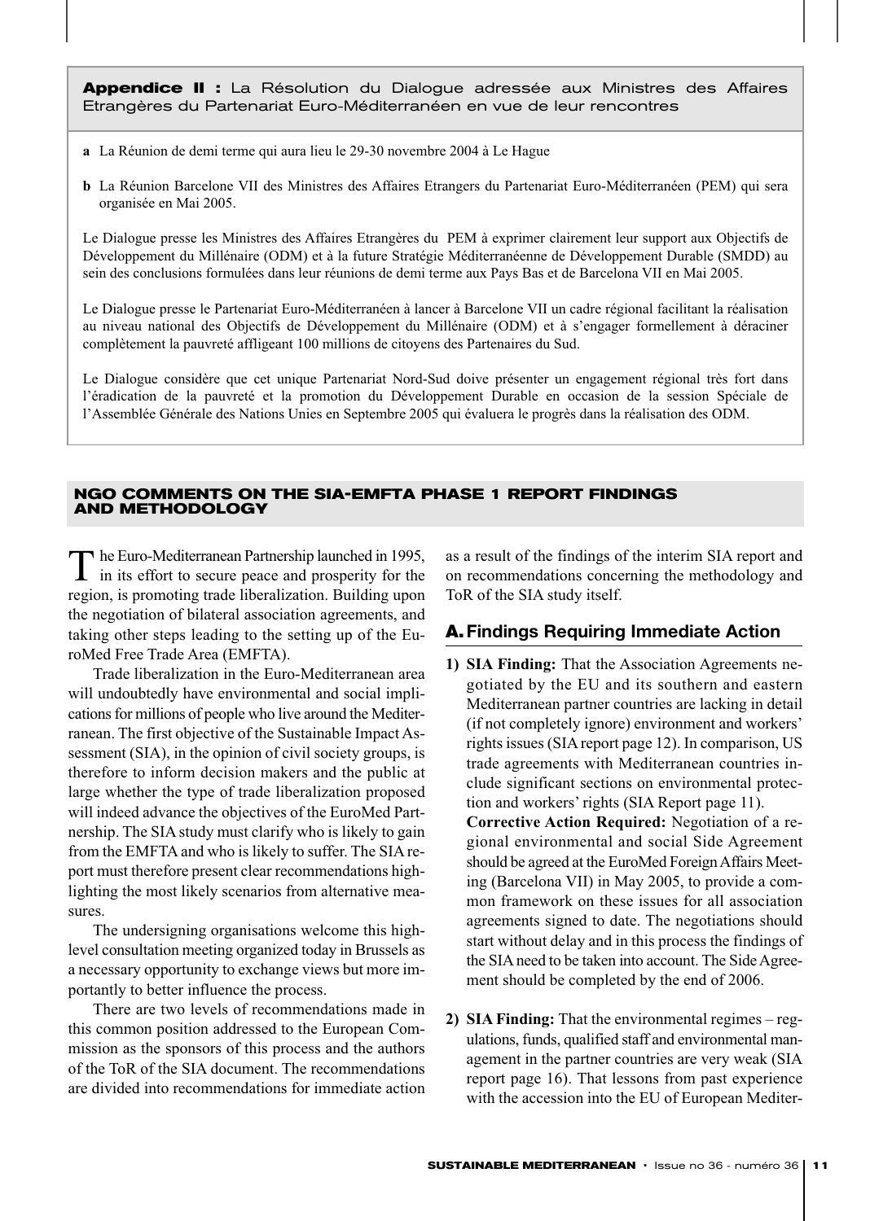**Appendice II :** La Résolution du Dialogue adressée aux Ministres des Affaires Etrangères du Partenariat Euro-Méditerranéen en vue de leur rencontres

- **a** La Réunion de demi terme qui aura lieu le 29-30 novembre 2004 à Le Hague
- **b** La Réunion Barcelone VII des Ministres des Affaires Etrangers du Partenariat Euro-Méditerranéen (PEM) qui sera organisée en Mai 2005.

Le Dialogue presse les Ministres des Affaires Etrangères du PEM à exprimer clairement leur support aux Objectifs de Développement du Millénaire (ODM) et à la future Stratégie Méditerranéenne de Développement Durable (SMDD) au sein des conclusions formulées dans leur réunions de demi terme aux Pays Bas et de Barcelona VII en Mai 2005.

Le Dialogue presse le Partenariat Euro-Méditerranéen à lancer à Barcelone VII un cadre régional facilitant la réalisation au niveau national des Objectifs de Développement du Millénaire (ODM) et à s'engager formellement à déraciner complètement la pauvreté affligeant 100 millions de citoyens des Partenaires du Sud.

Le Dialogue considère que cet unique Partenariat Nord-Sud doive présenter un engagement régional très fort dans l'éradication de la pauvreté et la promotion du Développement Durable en occasion de la session Spéciale de l'Assemblée Générale des Nations Unies en Septembre 2005 qui évaluera le progrès dans la réalisation des ODM.

#### **NGO COMMENTS ON THE SIA-EMFTA PHASE 1 REPORT FINDINGS AND METHODOLOGY**

The Euro-Mediterranean Partnership launched in 1995,<br>in its effort to secure peace and prosperity for the region, is promoting trade liberalization. Building upon the negotiation of bilateral association agreements, and taking other steps leading to the setting up of the EuroMed Free Trade Area (EMFTA).

Trade liberalization in the Euro-Mediterranean area will undoubtedly have environmental and social implications for millions of people who live around the Mediterranean. The first objective of the Sustainable Impact Assessment (SIA), in the opinion of civil society groups, is therefore to inform decision makers and the public at large whether the type of trade liberalization proposed will indeed advance the objectives of the EuroMed Partnership. The SIA study must clarify who is likely to gain from the EMFTA and who is likely to suffer. The SIA report must therefore present clear recommendations highlighting the most likely scenarios from alternative measures.

The undersigning organisations welcome this highlevel consultation meeting organized today in Brussels as a necessary opportunity to exchange views but more importantly to better influence the process.

There are two levels of recommendations made in this common position addressed to the European Commission as the sponsors of this process and the authors of the ToR of the SIA document. The recommendations are divided into recommendations for immediate action as a result of the findings of the interim SIA report and on recommendations concerning the methodology and ToR of the SIA study itself.

#### A.**Findings Requiring Immediate Action**

**1) SIA Finding:** That the Association Agreements negotiated by the EU and its southern and eastern Mediterranean partner countries are lacking in detail (if not completely ignore) environment and workers' rights issues (SIA report page 12). In comparison, US trade agreements with Mediterranean countries include significant sections on environmental protection and workers' rights (SIA Report page 11). **Corrective Action Required:** Negotiation of a re-

gional environmental and social Side Agreement should be agreed at the EuroMed Foreign Affairs Meeting (Barcelona VII) in May 2005, to provide a common framework on these issues for all association agreements signed to date. The negotiations should start without delay and in this process the findings of the SIA need to be taken into account. The Side Agreement should be completed by the end of 2006.

**2) SIA Finding:** That the environmental regimes – regulations, funds, qualified staff and environmental management in the partner countries are very weak (SIA report page 16). That lessons from past experience with the accession into the EU of European Mediter-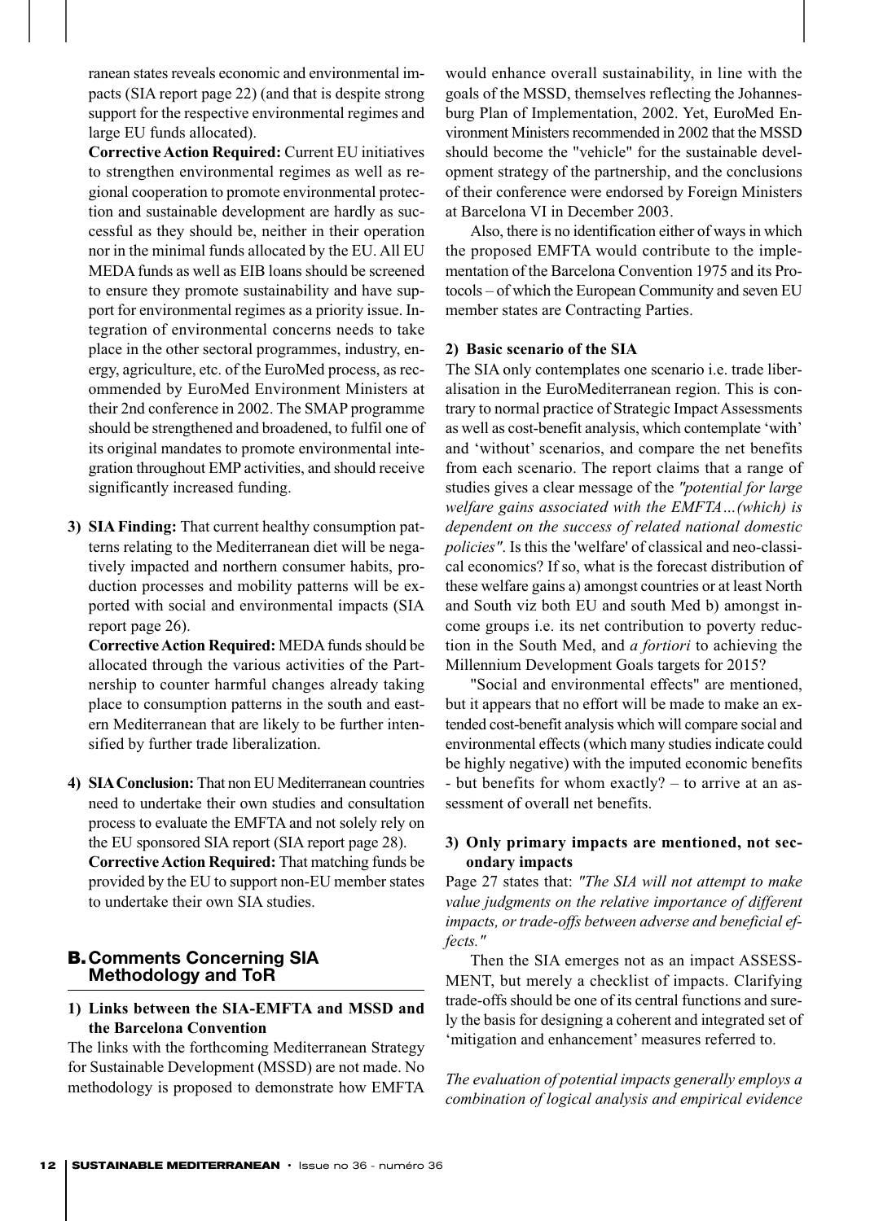ranean states reveals economic and environmental impacts (SIA report page 22) (and that is despite strong support for the respective environmental regimes and large EU funds allocated).

**Corrective Action Required:** Current EU initiatives to strengthen environmental regimes as well as regional cooperation to promote environmental protection and sustainable development are hardly as successful as they should be, neither in their operation nor in the minimal funds allocated by the EU. All EU MEDA funds as well as EIB loans should be screened to ensure they promote sustainability and have support for environmental regimes as a priority issue. Integration of environmental concerns needs to take place in the other sectoral programmes, industry, energy, agriculture, etc. of the EuroMed process, as recommended by EuroMed Environment Ministers at their 2nd conference in 2002. The SMAP programme should be strengthened and broadened, to fulfil one of its original mandates to promote environmental integration throughout EMP activities, and should receive significantly increased funding.

**3) SIA Finding:** That current healthy consumption patterns relating to the Mediterranean diet will be negatively impacted and northern consumer habits, production processes and mobility patterns will be exported with social and environmental impacts (SIA report page 26).

**Corrective Action Required:** MEDA funds should be allocated through the various activities of the Partnership to counter harmful changes already taking place to consumption patterns in the south and eastern Mediterranean that are likely to be further intensified by further trade liberalization.

**4) SIAConclusion:** That non EU Mediterranean countries need to undertake their own studies and consultation process to evaluate the EMFTA and not solely rely on the EU sponsored SIA report (SIA report page 28). **Corrective Action Required:** That matching funds be provided by the EU to support non-EU member states to undertake their own SIA studies.

#### B.**Comments Concerning SIA Methodology and ToR**

#### **1) Links between the SIA-EMFTA and MSSD and the Barcelona Convention**

The links with the forthcoming Mediterranean Strategy for Sustainable Development (MSSD) are not made. No methodology is proposed to demonstrate how EMFTA would enhance overall sustainability, in line with the goals of the MSSD, themselves reflecting the Johannesburg Plan of Implementation, 2002. Yet, EuroMed Environment Ministers recommended in 2002 that the MSSD should become the "vehicle" for the sustainable development strategy of the partnership, and the conclusions of their conference were endorsed by Foreign Ministers at Barcelona VI in December 2003.

Also, there is no identification either of ways in which the proposed EMFTA would contribute to the implementation of the Barcelona Convention 1975 and its Protocols – of which the European Community and seven EU member states are Contracting Parties.

#### **2) Basic scenario of the SIA**

The SIA only contemplates one scenario i.e. trade liberalisation in the EuroMediterranean region. This is contrary to normal practice of Strategic Impact Assessments as well as cost-benefit analysis, which contemplate 'with' and 'without' scenarios, and compare the net benefits from each scenario. The report claims that a range of studies gives a clear message of the *"potential for large welfare gains associated with the EMFTA…(which) is dependent on the success of related national domestic policies"*. Is this the 'welfare' of classical and neo-classical economics? If so, what is the forecast distribution of these welfare gains a) amongst countries or at least North and South viz both EU and south Med b) amongst income groups i.e. its net contribution to poverty reduction in the South Med, and *a fortiori* to achieving the Millennium Development Goals targets for 2015?

"Social and environmental effects" are mentioned, but it appears that no effort will be made to make an extended cost-benefit analysis which will compare social and environmental effects (which many studies indicate could be highly negative) with the imputed economic benefits - but benefits for whom exactly? – to arrive at an assessment of overall net benefits.

#### **3) Only primary impacts are mentioned, not secondary impacts**

Page 27 states that: *"The SIA will not attempt to make value judgments on the relative importance of different impacts, or trade-offs between adverse and beneficial effects."*

Then the SIA emerges not as an impact ASSESS-MENT, but merely a checklist of impacts. Clarifying trade-offs should be one of its central functions and surely the basis for designing a coherent and integrated set of 'mitigation and enhancement' measures referred to.

*The evaluation of potential impacts generally employs a combination of logical analysis and empirical evidence*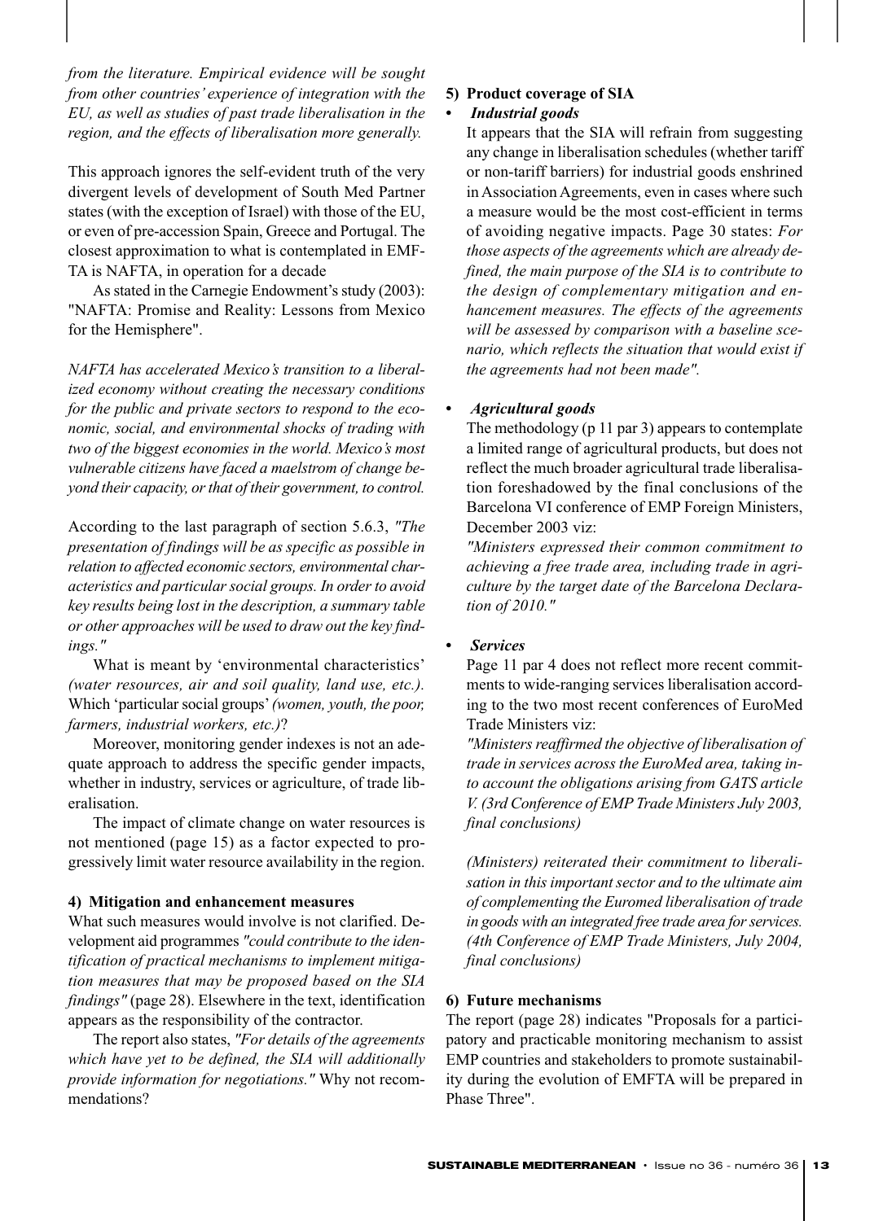*from the literature. Empirical evidence will be sought from other countries' experience of integration with the EU, as well as studies of past trade liberalisation in the region, and the effects of liberalisation more generally.*

This approach ignores the self-evident truth of the very divergent levels of development of South Med Partner states (with the exception of Israel) with those of the EU, or even of pre-accession Spain, Greece and Portugal. The closest approximation to what is contemplated in EMF-TA is NAFTA, in operation for a decade

As stated in the Carnegie Endowment's study (2003): "NAFTA: Promise and Reality: Lessons from Mexico for the Hemisphere".

*NAFTA has accelerated Mexico's transition to a liberalized economy without creating the necessary conditions for the public and private sectors to respond to the economic, social, and environmental shocks of trading with two of the biggest economies in the world. Mexico's most vulnerable citizens have faced a maelstrom of change beyond their capacity, or that of their government, to control.*

According to the last paragraph of section 5.6.3, *"The presentation of findings will be as specific as possible in relation to affected economic sectors, environmental characteristics and particular social groups. In order to avoid key results being lost in the description, a summary table or other approaches will be used to draw out the key findings."* 

What is meant by 'environmental characteristics' *(water resources, air and soil quality, land use, etc.).* Which 'particular social groups'*(women, youth, the poor, farmers, industrial workers, etc.)*?

Moreover, monitoring gender indexes is not an adequate approach to address the specific gender impacts, whether in industry, services or agriculture, of trade liberalisation.

The impact of climate change on water resources is not mentioned (page 15) as a factor expected to progressively limit water resource availability in the region.

#### **4) Mitigation and enhancement measures**

What such measures would involve is not clarified. Development aid programmes *"could contribute to the identification of practical mechanisms to implement mitigation measures that may be proposed based on the SIA findings"* (page 28). Elsewhere in the text, identification appears as the responsibility of the contractor.

The report also states, *"For details of the agreements which have yet to be defined, the SIA will additionally provide information for negotiations."* Why not recommendations?

#### **5) Product coverage of SIA**

#### *• Industrial goods*

It appears that the SIA will refrain from suggesting any change in liberalisation schedules (whether tariff or non-tariff barriers) for industrial goods enshrined in Association Agreements, even in cases where such a measure would be the most cost-efficient in terms of avoiding negative impacts. Page 30 states: *For those aspects of the agreements which are already defined, the main purpose of the SIA is to contribute to the design of complementary mitigation and enhancement measures. The effects of the agreements will be assessed by comparison with a baseline scenario, which reflects the situation that would exist if the agreements had not been made".*

#### *• Agricultural goods*

The methodology (p 11 par 3) appears to contemplate a limited range of agricultural products, but does not reflect the much broader agricultural trade liberalisation foreshadowed by the final conclusions of the Barcelona VI conference of EMP Foreign Ministers, December 2003 viz:

*"Ministers expressed their common commitment to achieving a free trade area, including trade in agriculture by the target date of the Barcelona Declaration of 2010."*

#### *• Services*

Page 11 par 4 does not reflect more recent commitments to wide-ranging services liberalisation according to the two most recent conferences of EuroMed Trade Ministers viz:

*"Ministers reaffirmed the objective of liberalisation of trade in services across the EuroMed area, taking into account the obligations arising from GATS article V. (3rd Conference of EMP Trade Ministers July 2003, final conclusions)*

*(Ministers) reiterated their commitment to liberalisation in this important sector and to the ultimate aim of complementing the Euromed liberalisation of trade in goods with an integrated free trade area for services. (4th Conference of EMP Trade Ministers, July 2004, final conclusions)*

#### **6) Future mechanisms**

The report (page 28) indicates "Proposals for a participatory and practicable monitoring mechanism to assist EMP countries and stakeholders to promote sustainability during the evolution of EMFTA will be prepared in Phase Three".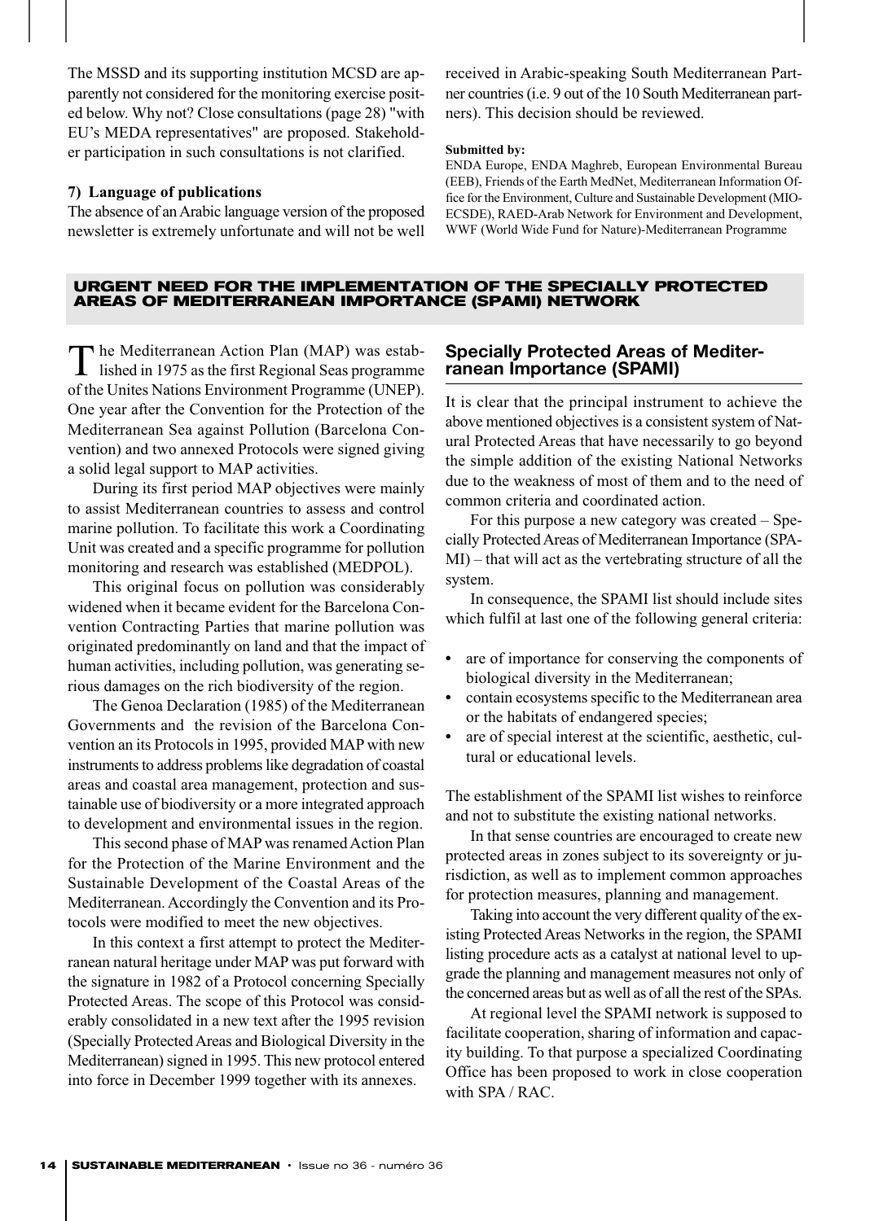The MSSD and its supporting institution MCSD are apparently not considered for the monitoring exercise posited below. Why not? Close consultations (page 28) "with EU's MEDA representatives" are proposed. Stakeholder participation in such consultations is not clarified.

#### **7) Language of publications**

The absence of an Arabic language version of the proposed newsletter is extremely unfortunate and will not be well received in Arabic-speaking South Mediterranean Partner countries (i.e. 9 out of the 10 South Mediterranean partners). This decision should be reviewed.

#### **Submitted by:**

ENDA Europe, ENDA Maghreb, European Environmental Bureau (EEB), Friends of the Earth MedNet, Mediterranean Information Office for the Environment, Culture and Sustainable Development (MIO-ECSDE), RAED-Arab Network for Environment and Development, WWF (World Wide Fund for Nature)-Mediterranean Programme

#### **URGENT NEED FOR THE IMPLEMENTATION OF THE SPECIALLY PROTECTED AREAS OF MEDITERRANEAN IMPORTANCE (SPAMI) NETWORK**

The Mediterranean Action Plan (MAP) was established in 1975 as the first Regional Seas programme of the Unites Nations Environment Programme (UNEP). One year after the Convention for the Protection of the Mediterranean Sea against Pollution (Barcelona Convention) and two annexed Protocols were signed giving a solid legal support to MAP activities.

During its first period MAP objectives were mainly to assist Mediterranean countries to assess and control marine pollution. To facilitate this work a Coordinating Unit was created and a specific programme for pollution monitoring and research was established (MEDPOL).

This original focus on pollution was considerably widened when it became evident for the Barcelona Convention Contracting Parties that marine pollution was originated predominantly on land and that the impact of human activities, including pollution, was generating serious damages on the rich biodiversity of the region.

The Genoa Declaration (1985) of the Mediterranean Governments and the revision of the Barcelona Convention an its Protocols in 1995, provided MAP with new instruments to address problems like degradation of coastal areas and coastal area management, protection and sustainable use of biodiversity or a more integrated approach to development and environmental issues in the region.

This second phase of MAP was renamed Action Plan for the Protection of the Marine Environment and the Sustainable Development of the Coastal Areas of the Mediterranean. Accordingly the Convention and its Protocols were modified to meet the new objectives.

In this context a first attempt to protect the Mediterranean natural heritage under MAP was put forward with the signature in 1982 of a Protocol concerning Specially Protected Areas. The scope of this Protocol was considerably consolidated in a new text after the 1995 revision (Specially Protected Areas and Biological Diversity in the Mediterranean) signed in 1995. This new protocol entered into force in December 1999 together with its annexes.

#### **Specially Protected Areas of Mediterranean Importance (SPAMI)**

It is clear that the principal instrument to achieve the above mentioned objectives is a consistent system of Natural Protected Areas that have necessarily to go beyond the simple addition of the existing National Networks due to the weakness of most of them and to the need of common criteria and coordinated action.

For this purpose a new category was created – Specially Protected Areas of Mediterranean Importance (SPA-MI) – that will act as the vertebrating structure of all the system.

In consequence, the SPAMI list should include sites which fulfil at last one of the following general criteria:

- *•* are of importance for conserving the components of biological diversity in the Mediterranean;
- *•* contain ecosystems specific to the Mediterranean area or the habitats of endangered species;
- *•* are of special interest at the scientific, aesthetic, cultural or educational levels.

The establishment of the SPAMI list wishes to reinforce and not to substitute the existing national networks.

In that sense countries are encouraged to create new protected areas in zones subject to its sovereignty or jurisdiction, as well as to implement common approaches for protection measures, planning and management.

Taking into account the very different quality of the existing Protected Areas Networks in the region, the SPAMI listing procedure acts as a catalyst at national level to upgrade the planning and management measures not only of the concerned areas but as well as of all the rest of the SPAs.

At regional level the SPAMI network is supposed to facilitate cooperation, sharing of information and capacity building. To that purpose a specialized Coordinating Office has been proposed to work in close cooperation with SPA / RAC.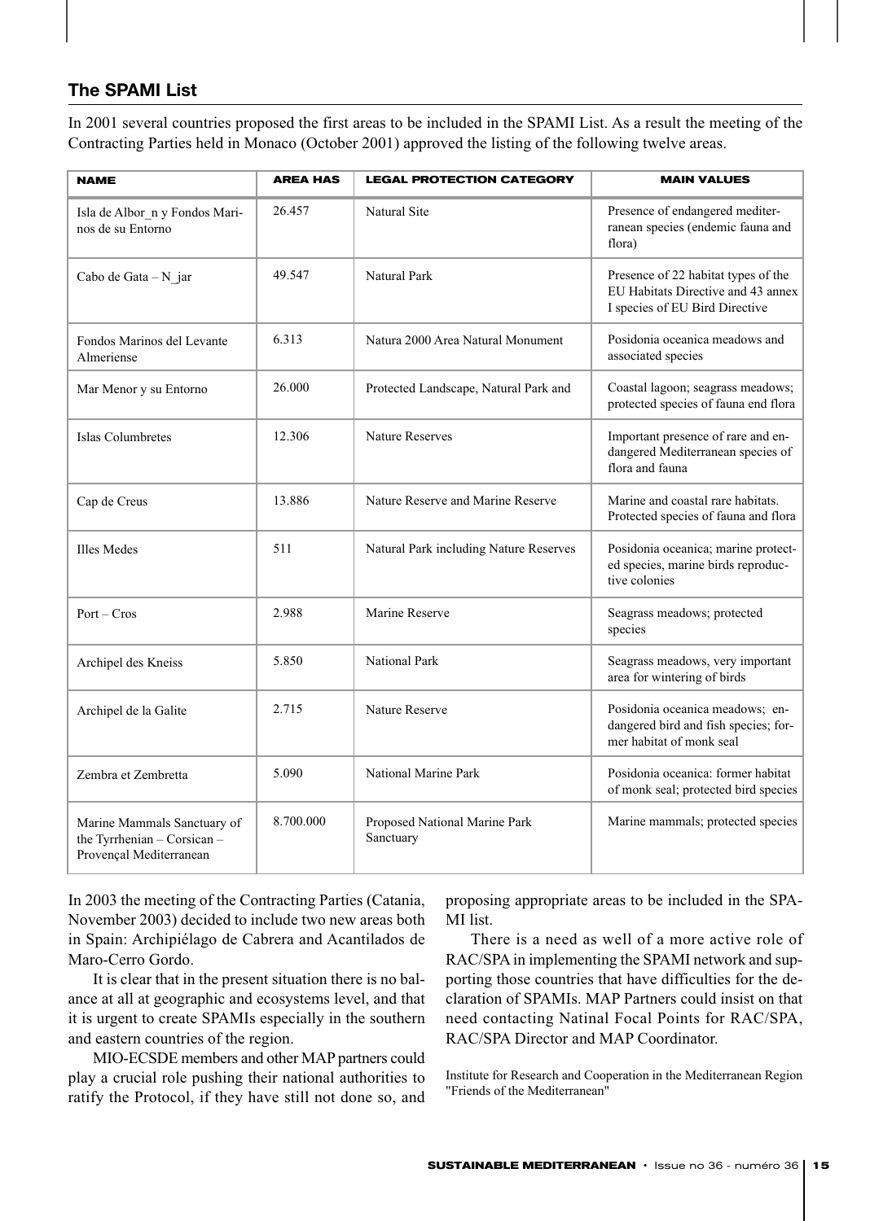#### **The SPAMI List**

In 2001 several countries proposed the first areas to be included in the SPAMI List. As a result the meeting of the Contracting Parties held in Monaco (October 2001) approved the listing of the following twelve areas.

| <b>NAME</b>                                                                           | <b>AREA HAS</b>                  | <b>LEGAL PROTECTION CATEGORY</b>           | <b>MAIN VALUES</b>                                                                                          |  |  |
|---------------------------------------------------------------------------------------|----------------------------------|--------------------------------------------|-------------------------------------------------------------------------------------------------------------|--|--|
| Isla de Albor_n y Fondos Mari-<br>nos de su Entorno                                   | 26.457                           | Natural Site                               | Presence of endangered mediter-<br>ranean species (endemic fauna and<br>flora)                              |  |  |
| Cabo de Gata $-N$ jar                                                                 | 49.547                           | Natural Park                               | Presence of 22 habitat types of the<br>EU Habitats Directive and 43 annex<br>I species of EU Bird Directive |  |  |
| Fondos Marinos del Levante<br>Almeriense                                              | 6.313                            | Natura 2000 Area Natural Monument          | Posidonia oceanica meadows and<br>associated species                                                        |  |  |
| Mar Menor y su Entorno                                                                | 26.000                           | Protected Landscape, Natural Park and      | Coastal lagoon; seagrass meadows;<br>protected species of fauna end flora                                   |  |  |
| Islas Columbretes                                                                     | 12.306<br><b>Nature Reserves</b> |                                            | Important presence of rare and en-<br>dangered Mediterranean species of<br>flora and fauna                  |  |  |
| Cap de Creus                                                                          | 13.886                           | Nature Reserve and Marine Reserve          | Marine and coastal rare habitats.<br>Protected species of fauna and flora                                   |  |  |
| Illes Medes                                                                           | 511                              | Natural Park including Nature Reserves     | Posidonia oceanica; marine protect-<br>ed species, marine birds reproduc-<br>tive colonies                  |  |  |
| $Port - Cross$                                                                        | 2.988<br>Marine Reserve          |                                            | Seagrass meadows; protected<br>species                                                                      |  |  |
| Archipel des Kneiss                                                                   | 5.850                            | <b>National Park</b>                       | Seagrass meadows, very important<br>area for wintering of birds                                             |  |  |
| Archipel de la Galite                                                                 | 2.715<br>Nature Reserve          |                                            | Posidonia oceanica meadows; en-<br>dangered bird and fish species; for-<br>mer habitat of monk seal         |  |  |
| Zembra et Zembretta                                                                   | 5.090                            | National Marine Park                       | Posidonia oceanica: former habitat<br>of monk seal; protected bird species                                  |  |  |
| Marine Mammals Sanctuary of<br>the Tyrrhenian - Corsican -<br>Provençal Mediterranean | 8.700.000                        | Proposed National Marine Park<br>Sanctuary | Marine mammals; protected species                                                                           |  |  |

In 2003 the meeting of the Contracting Parties (Catania, November 2003) decided to include two new areas both in Spain: Archipiélago de Cabrera and Acantilados de Maro-Cerro Gordo.

It is clear that in the present situation there is no balance at all at geographic and ecosystems level, and that it is urgent to create SPAMIs especially in the southern and eastern countries of the region.

MIO-ECSDE members and other MAP partners could play a crucial role pushing their national authorities to ratify the Protocol, if they have still not done so, and proposing appropriate areas to be included in the SPA-MI list.

There is a need as well of a more active role of RAC/SPA in implementing the SPAMI network and supporting those countries that have difficulties for the declaration of SPAMIs. MAP Partners could insist on that need contacting Natinal Focal Points for RAC/SPA, RAC/SPA Director and MAP Coordinator.

Institute for Research and Cooperation in the Mediterranean Region "Friends of the Mediterranean"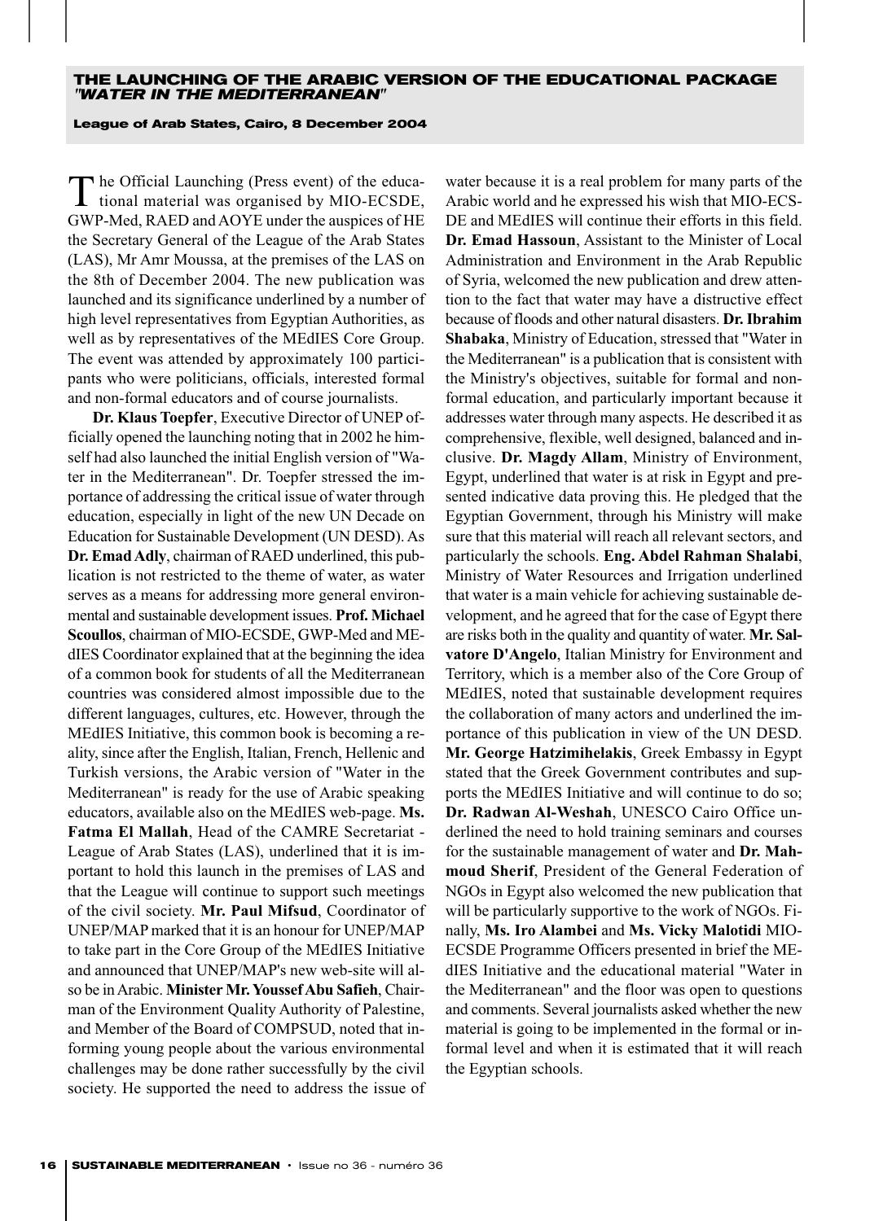#### **THE LAUNCHING OF THE ARABIC VERSION OF THE EDUCATIONAL PACKAGE "WATER IN THE MEDITERRANEAN"**

#### **League of Arab States, Cairo, 8 December 2004**

The Official Launching (Press event) of the educa-<br>tional material was organised by MIO-ECSDE, GWP-Med, RAED and AOYE under the auspices of HE the Secretary General of the League of the Arab States (LAS), Mr Amr Moussa, at the premises of the LAS on the 8th of December 2004. The new publication was launched and its significance underlined by a number of high level representatives from Egyptian Authorities, as well as by representatives of the MEdIES Core Group. The event was attended by approximately 100 participants who were politicians, officials, interested formal and non-formal educators and of course journalists.

**Dr. Klaus Toepfer**, Executive Director of UNEP officially opened the launching noting that in 2002 he himself had also launched the initial English version of "Water in the Mediterranean". Dr. Toepfer stressed the importance of addressing the critical issue of water through education, especially in light of the new UN Decade on Education for Sustainable Development (UN DESD). As **Dr. Emad Adly**, chairman of RAED underlined, this publication is not restricted to the theme of water, as water serves as a means for addressing more general environmental and sustainable development issues. **Prof. Michael Scoullos**, chairman of MIO-ECSDE, GWP-Med and MEdIES Coordinator explained that at the beginning the idea of a common book for students of all the Mediterranean countries was considered almost impossible due to the different languages, cultures, etc. However, through the MEdIES Initiative, this common book is becoming a reality, since after the English, Italian, French, Hellenic and Turkish versions, the Arabic version of "Water in the Mediterranean" is ready for the use of Arabic speaking educators, available also on the MEdIES web-page. **Ms. Fatma El Mallah**, Head of the CAMRE Secretariat - League of Arab States (LAS), underlined that it is important to hold this launch in the premises of LAS and that the League will continue to support such meetings of the civil society. **Mr. Paul Mifsud**, Coordinator of UNEP/MAP marked that it is an honour for UNEP/MAP to take part in the Core Group of the MEdIES Initiative and announced that UNEP/MAP's new web-site will also be in Arabic. **Minister Mr. Youssef Abu Safieh**, Chairman of the Environment Quality Authority of Palestine, and Member of the Board of COMPSUD, noted that informing young people about the various environmental challenges may be done rather successfully by the civil society. He supported the need to address the issue of water because it is a real problem for many parts of the Arabic world and he expressed his wish that MIO-ECS-DE and MEdIES will continue their efforts in this field. **Dr. Emad Hassoun**, Assistant to the Minister of Local Administration and Environment in the Arab Republic of Syria, welcomed the new publication and drew attention to the fact that water may have a distructive effect because of floods and other natural disasters. **Dr. Ibrahim Shabaka**, Ministry of Education, stressed that "Water in the Mediterranean" is a publication that is consistent with the Ministry's objectives, suitable for formal and nonformal education, and particularly important because it addresses water through many aspects. He described it as comprehensive, flexible, well designed, balanced and inclusive. **Dr. Magdy Allam**, Ministry of Environment, Egypt, underlined that water is at risk in Egypt and presented indicative data proving this. He pledged that the Egyptian Government, through his Ministry will make sure that this material will reach all relevant sectors, and particularly the schools. **Eng. Abdel Rahman Shalabi**, Ministry of Water Resources and Irrigation underlined that water is a main vehicle for achieving sustainable development, and he agreed that for the case of Egypt there are risks both in the quality and quantity of water. **Mr. Salvatore D'Angelo**, Italian Ministry for Environment and Territory, which is a member also of the Core Group of MEdIES, noted that sustainable development requires the collaboration of many actors and underlined the importance of this publication in view of the UN DESD. **Mr. George Hatzimihelakis**, Greek Embassy in Egypt stated that the Greek Government contributes and supports the MEdIES Initiative and will continue to do so; **Dr. Radwan Al-Weshah**, UNESCO Cairo Office underlined the need to hold training seminars and courses for the sustainable management of water and **Dr. Mahmoud Sherif**, President of the General Federation of NGOs in Egypt also welcomed the new publication that will be particularly supportive to the work of NGOs. Finally, **Ms. Iro Alambei** and **Ms. Vicky Malotidi** MIO-ECSDE Programme Officers presented in brief the MEdIES Initiative and the educational material "Water in the Mediterranean" and the floor was open to questions and comments. Several journalists asked whether the new material is going to be implemented in the formal or informal level and when it is estimated that it will reach the Egyptian schools.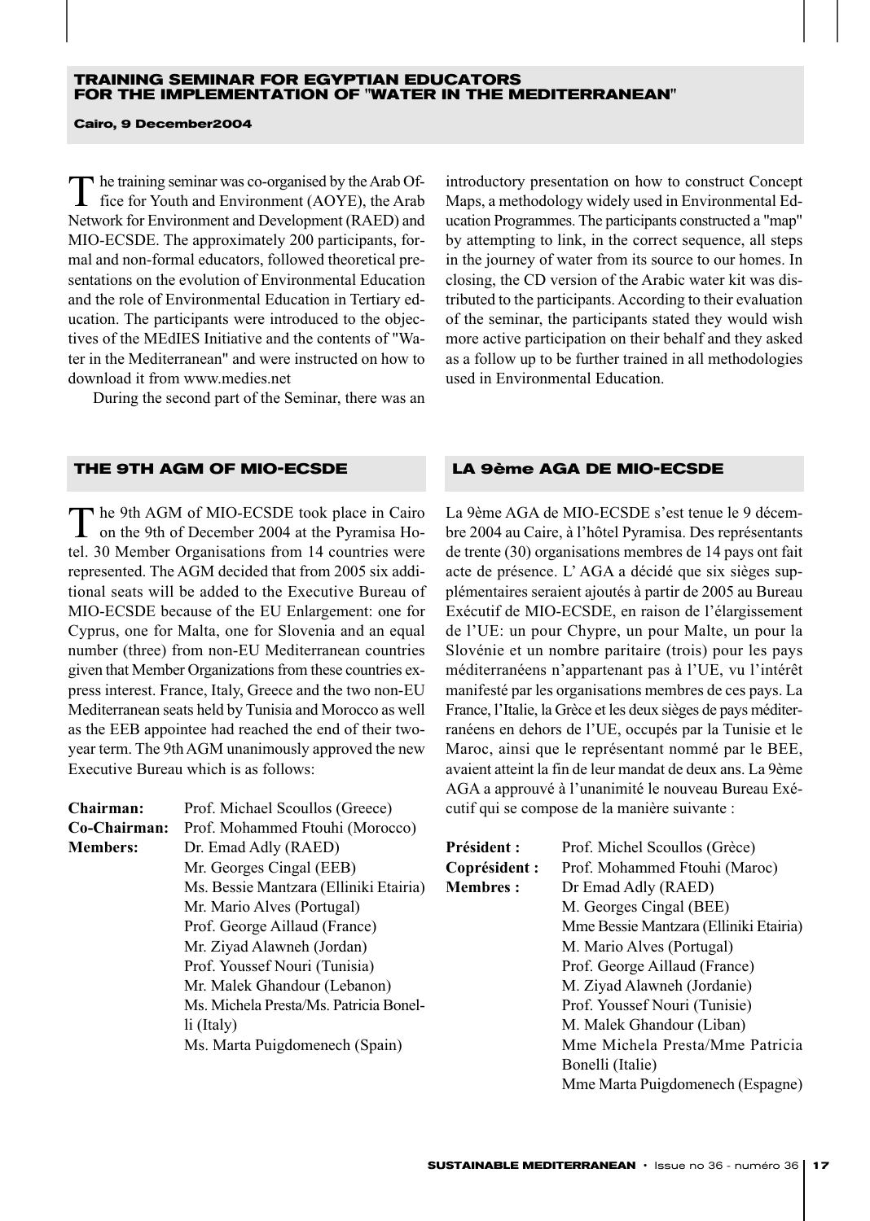#### **TRAINING SEMINAR FOR EGYPTIAN EDUCATORS FOR THE IMPLEMENTATION OF "WATER IN THE MEDITERRANEAN"**

**Cairo, 9 December2004**

The training seminar was co-organised by the Arab Of-<br>fice for Youth and Environment (AOYE), the Arab Network for Environment and Development (RAED) and MIO-ECSDE. The approximately 200 participants, formal and non-formal educators, followed theoretical presentations on the evolution of Environmental Education and the role of Environmental Education in Tertiary education. The participants were introduced to the objectives of the MEdIES Initiative and the contents of "Water in the Mediterranean" and were instructed on how to download it from www.medies.net

During the second part of the Seminar, there was an

**THE 9TH AGM OF MIO-ECSDE LA 9ème AGA DE MIO-ECSDE**

The 9th AGM of MIO-ECSDE took place in Cairo on the 9th of December 2004 at the Pyramisa Hotel. 30 Member Organisations from 14 countries were represented. The AGM decided that from 2005 six additional seats will be added to the Executive Bureau of MIO-ECSDE because of the EU Enlargement: one for Cyprus, one for Malta, one for Slovenia and an equal number (three) from non-EU Mediterranean countries given that Member Organizations from these countries express interest. France, Italy, Greece and the two non-EU Mediterranean seats held by Tunisia and Morocco as well as the EEB appointee had reached the end of their twoyear term. The 9th AGM unanimously approved the new Executive Bureau which is as follows:

| Chairman:       | Prof. Michael Scoullos (Greece)        | cutif qui se compose de la manière suivante : |                                        |  |
|-----------------|----------------------------------------|-----------------------------------------------|----------------------------------------|--|
| Co-Chairman:    | Prof. Mohammed Ftouhi (Morocco)        |                                               |                                        |  |
| <b>Members:</b> | Dr. Emad Adly (RAED)                   | <b>Président :</b>                            | Prof. Michel Scoullos (Grèce)          |  |
|                 | Mr. Georges Cingal (EEB)               | Coprésident :                                 | Prof. Mohammed Ftouhi (Maroc)          |  |
|                 | Ms. Bessie Mantzara (Elliniki Etairia) | <b>Membres:</b>                               | Dr Emad Adly (RAED)                    |  |
|                 | Mr. Mario Alves (Portugal)             |                                               | M. Georges Cingal (BEE)                |  |
|                 | Prof. George Aillaud (France)          |                                               | Mme Bessie Mantzara (Elliniki Etairia) |  |
|                 | Mr. Ziyad Alawneh (Jordan)             |                                               | M. Mario Alves (Portugal)              |  |
|                 | Prof. Youssef Nouri (Tunisia)          |                                               | Prof. George Aillaud (France)          |  |
|                 | Mr. Malek Ghandour (Lebanon)           |                                               | M. Ziyad Alawneh (Jordanie)            |  |
|                 | Ms. Michela Presta/Ms. Patricia Bonel- |                                               | Prof. Youssef Nouri (Tunisie)          |  |
|                 | $li$ (Italy)                           |                                               | M. Malek Ghandour (Liban)              |  |
|                 | Ms. Marta Puigdomenech (Spain)         |                                               | Mme Michela Presta/Mme Patricia        |  |
|                 |                                        |                                               | Bonelli (Italie)                       |  |
|                 |                                        |                                               | Mme Marta Puigdomenech (Espagne)       |  |

introductory presentation on how to construct Concept Maps, a methodology widely used in Environmental Education Programmes. The participants constructed a "map" by attempting to link, in the correct sequence, all steps in the journey of water from its source to our homes. In closing, the CD version of the Arabic water kit was distributed to the participants. According to their evaluation of the seminar, the participants stated they would wish more active participation on their behalf and they asked as a follow up to be further trained in all methodologies used in Environmental Education.

La 9ème AGA de MIO-ECSDE s'est tenue le 9 décembre 2004 au Caire, à l'hôtel Pyramisa. Des représentants de trente (30) organisations membres de 14 pays ont fait acte de présence. L' AGA a décidé que six sièges supplémentaires seraient ajoutés à partir de 2005 au Bureau Exécutif de MIO-ECSDE, en raison de l'élargissement de l'UE: un pour Chypre, un pour Malte, un pour la Slovénie et un nombre paritaire (trois) pour les pays méditerranéens n'appartenant pas à l'UE, vu l'intérêt manifesté par les organisations membres de ces pays. La France, l'Italie, la Grèce et les deux sièges de pays méditerranéens en dehors de l'UE, occupés par la Tunisie et le Maroc, ainsi que le représentant nommé par le BEE, avaient atteint la fin de leur mandat de deux ans. La 9ème AGA a approuvé à l'unanimité le nouveau Bureau Exévante :

| <b>SUSTAINABLE MEDITERRANEAN</b> · Issue no 36 - numéro 36   17 |  |  |
|-----------------------------------------------------------------|--|--|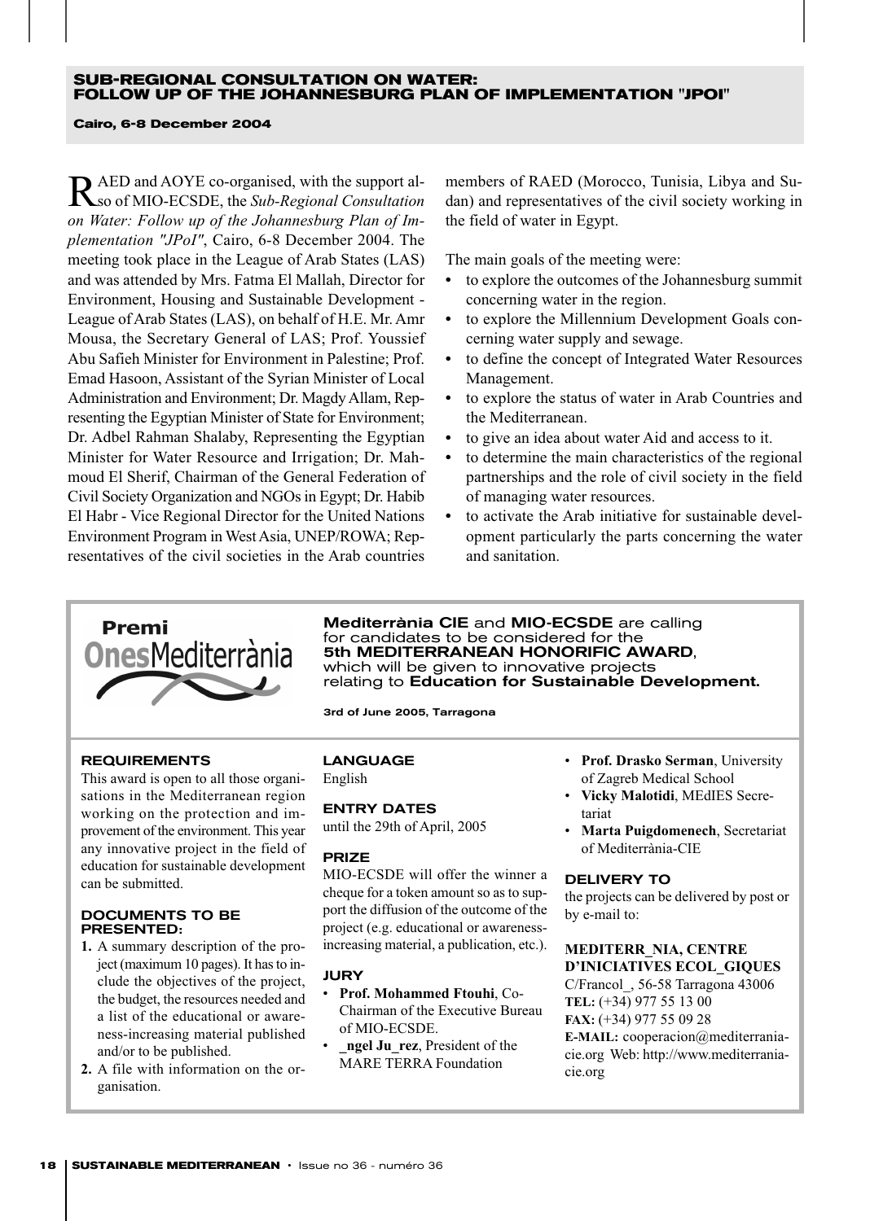#### **SUB-REGIONAL CONSULTATION ON WATER: FOLLOW UP OF THE JOHANNESBURG PLAN OF IMPLEMENTATION "JPOI"**

#### **Cairo, 6-8 December 2004**

RAED and AOYE co-organised, with the support al-so of MIO-ECSDE, the *Sub-Regional Consultation on Water: Follow up of the Johannesburg Plan of Implementation "JPoI"*, Cairo, 6-8 December 2004. The meeting took place in the League of Arab States (LAS) and was attended by Mrs. Fatma El Mallah, Director for Environment, Housing and Sustainable Development - League of Arab States (LAS), on behalf of H.E. Mr. Amr Mousa, the Secretary General of LAS; Prof. Youssief Abu Safieh Minister for Environment in Palestine; Prof. Emad Hasoon, Assistant of the Syrian Minister of Local Administration and Environment; Dr. Magdy Allam, Representing the Egyptian Minister of State for Environment; Dr. Adbel Rahman Shalaby, Representing the Egyptian Minister for Water Resource and Irrigation; Dr. Mahmoud El Sherif, Chairman of the General Federation of Civil Society Organization and NGOs in Egypt; Dr. Habib El Habr - Vice Regional Director for the United Nations Environment Program in West Asia, UNEP/ROWA; Representatives of the civil societies in the Arab countries

members of RAED (Morocco, Tunisia, Libya and Sudan) and representatives of the civil society working in the field of water in Egypt.

The main goals of the meeting were:

- *•* to explore the outcomes of the Johannesburg summit concerning water in the region.
- *•* to explore the Millennium Development Goals concerning water supply and sewage.
- *•* to define the concept of Integrated Water Resources Management.
- *•* to explore the status of water in Arab Countries and the Mediterranean.
- *•* to give an idea about water Aid and access to it.
- *•* to determine the main characteristics of the regional partnerships and the role of civil society in the field of managing water resources.
- *•* to activate the Arab initiative for sustainable development particularly the parts concerning the water and sanitation.



Mediterrània CIE and MIO-ECSDE are calling for candidates to be considered for the 5th MEDITERRANEAN HONORIFIC AWARD, which will be given to innovative projects relating to Education for Sustainable Development.

3rd of June 2005, Tarragona

#### REQUIREMENTS

This award is open to all those organisations in the Mediterranean region working on the protection and improvement of the environment. This year any innovative project in the field of education for sustainable development can be submitted.

#### DOCUMENTS TO BE PRESENTED:

- **1.** A summary description of the project (maximum 10 pages). It has to include the objectives of the project, the budget, the resources needed and a list of the educational or awareness-increasing material published and/or to be published.
- **2.** A file with information on the organisation.

LANGUAGE English

### ENTRY DATES

until the 29th of April, 2005

#### PRIZE

MIO-ECSDE will offer the winner a cheque for a token amount so as to support the diffusion of the outcome of the project (e.g. educational or awarenessincreasing material, a publication, etc.).

#### JURY

- **Prof. Mohammed Ftouhi**, Co-Chairman of the Executive Bureau of MIO-ECSDE.
- **ngel Ju** rez, President of the MARE TERRA Foundation
- **Prof. Drasko Serman**, University of Zagreb Medical School
- **Vicky Malotidi**, MEdIES Secretariat
- **Marta Puigdomenech**, Secretariat of Mediterrània-CIE

#### DELIVERY TO

the projects can be delivered by post or by e-mail to:

#### **MEDITERR\_NIA, CENTRE D'INICIATIVES ECOL\_GIQUES**

C/Francol\_, 56-58 Tarragona 43006 **TEL:** (+34) 977 55 13 00 **FAX:** (+34) 977 55 09 28 **E-MAIL:** cooperacion@mediterraniacie.org Web: http://www.mediterraniacie.org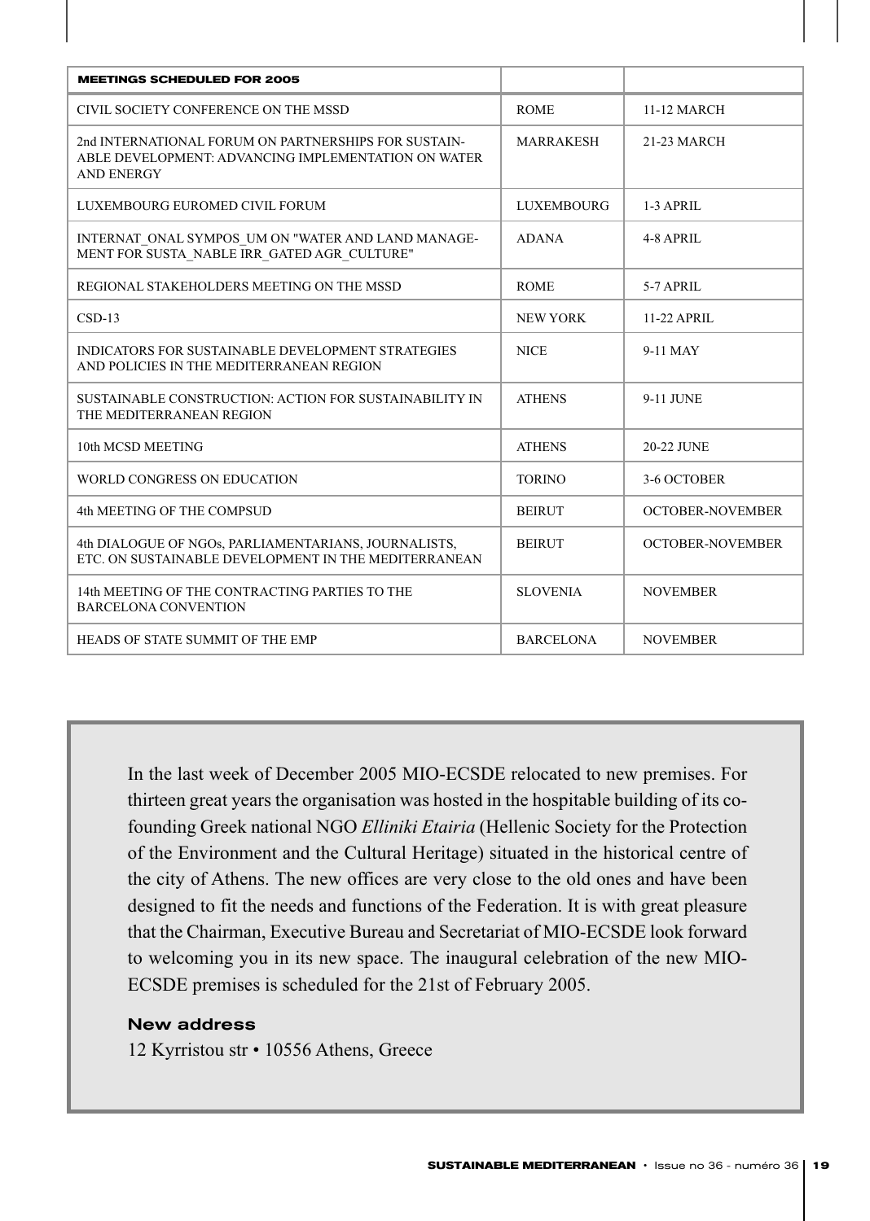| <b>MEETINGS SCHEDULED FOR 2005</b>                                                                                               |                   |                         |
|----------------------------------------------------------------------------------------------------------------------------------|-------------------|-------------------------|
| CIVIL SOCIETY CONFERENCE ON THE MSSD                                                                                             | <b>ROME</b>       | 11-12 MARCH             |
| 2nd INTERNATIONAL FORUM ON PARTNERSHIPS FOR SUSTAIN-<br>ABLE DEVELOPMENT: ADVANCING IMPLEMENTATION ON WATER<br><b>AND ENERGY</b> | <b>MARRAKESH</b>  | 21-23 MARCH             |
| LUXEMBOURG EUROMED CIVIL FORUM                                                                                                   | <b>LUXEMBOURG</b> | $1-3$ APRIL             |
| INTERNAT ONAL SYMPOS UM ON "WATER AND LAND MANAGE-<br>MENT FOR SUSTA NABLE IRR GATED AGR CULTURE"                                | <b>ADANA</b>      | 4-8 APRIL               |
| REGIONAL STAKEHOLDERS MEETING ON THE MSSD                                                                                        | <b>ROME</b>       | 5-7 APRIL               |
| $CSD-13$                                                                                                                         | <b>NEW YORK</b>   | 11-22 APRIL             |
| <b>INDICATORS FOR SUSTAINABLE DEVELOPMENT STRATEGIES</b><br>AND POLICIES IN THE MEDITERRANEAN REGION                             | <b>NICE</b>       | 9-11 MAY                |
| SUSTAINABLE CONSTRUCTION: ACTION FOR SUSTAINABILITY IN<br>THE MEDITERRANEAN REGION                                               | <b>ATHENS</b>     | 9-11 JUNE               |
| 10th MCSD MEETING                                                                                                                | <b>ATHENS</b>     | 20-22 JUNE              |
| WORLD CONGRESS ON EDUCATION                                                                                                      | <b>TORINO</b>     | 3-6 OCTOBER             |
| 4th MEETING OF THE COMPSUD                                                                                                       | <b>BEIRUT</b>     | <b>OCTOBER-NOVEMBER</b> |
| 4th DIALOGUE OF NGOs, PARLIAMENTARIANS, JOURNALISTS,<br>ETC. ON SUSTAINABLE DEVELOPMENT IN THE MEDITERRANEAN                     | <b>BEIRUT</b>     | <b>OCTOBER-NOVEMBER</b> |
| 14th MEETING OF THE CONTRACTING PARTIES TO THE<br><b>BARCELONA CONVENTION</b>                                                    | <b>SLOVENIA</b>   | <b>NOVEMBER</b>         |
| HEADS OF STATE SUMMIT OF THE EMP                                                                                                 | <b>BARCELONA</b>  | <b>NOVEMBER</b>         |

In the last week of December 2005 MIO-ECSDE relocated to new premises. For thirteen great years the organisation was hosted in the hospitable building of its cofounding Greek national NGO *Elliniki Etairia* (Hellenic Society for the Protection of the Environment and the Cultural Heritage) situated in the historical centre of the city of Athens. The new offices are very close to the old ones and have been designed to fit the needs and functions of the Federation. It is with great pleasure that the Chairman, Executive Bureau and Secretariat of MIO-ECSDE look forward to welcoming you in its new space. The inaugural celebration of the new MIO-ECSDE premises is scheduled for the 21st of February 2005.

#### New address

12 Kyrristou str • 10556 Athens, Greece